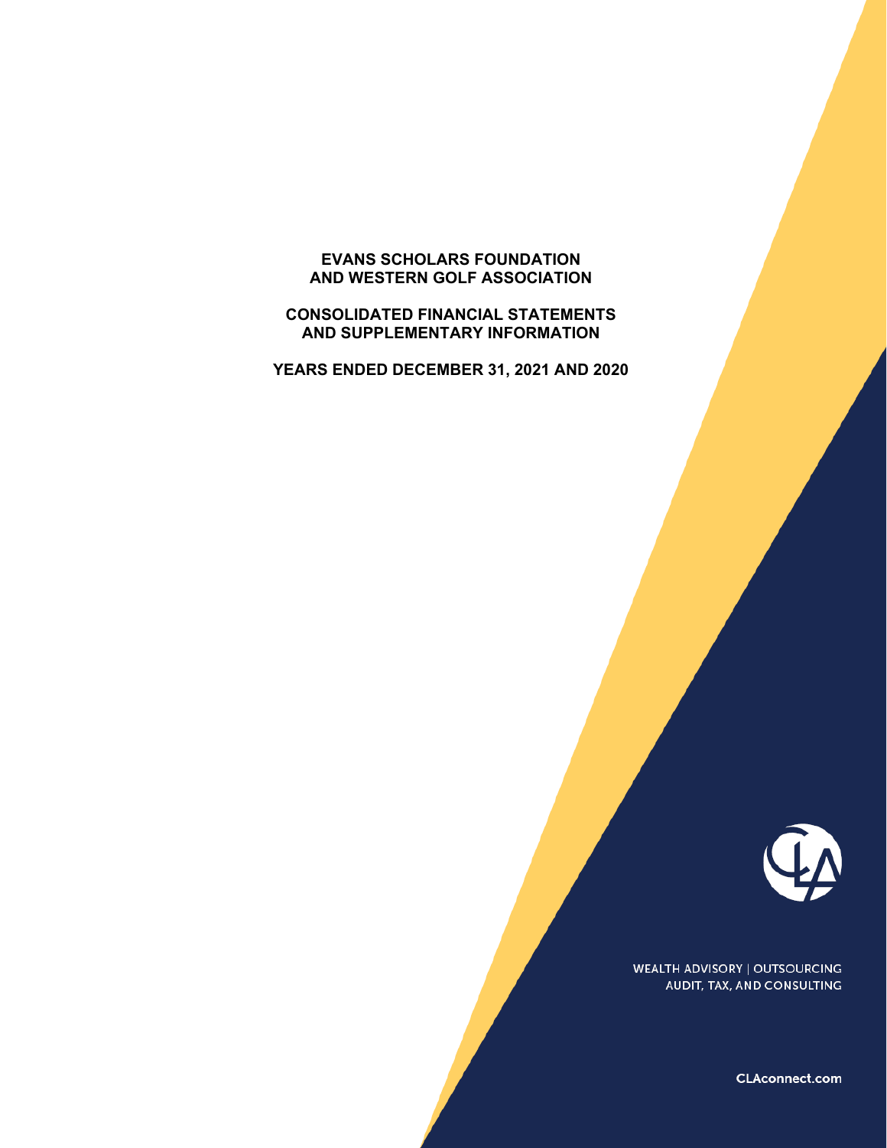# **EVANS SCHOLARS FOUNDATION AND WESTERN GOLF ASSOCIATION**

## **CONSOLIDATED FINANCIAL STATEMENTS AND SUPPLEMENTARY INFORMATION**

**YEARS ENDED DECEMBER 31, 2021 AND 2020** 



**WEALTH ADVISORY | OUTSOURCING** AUDIT, TAX, AND CONSULTING

CLAconnect.com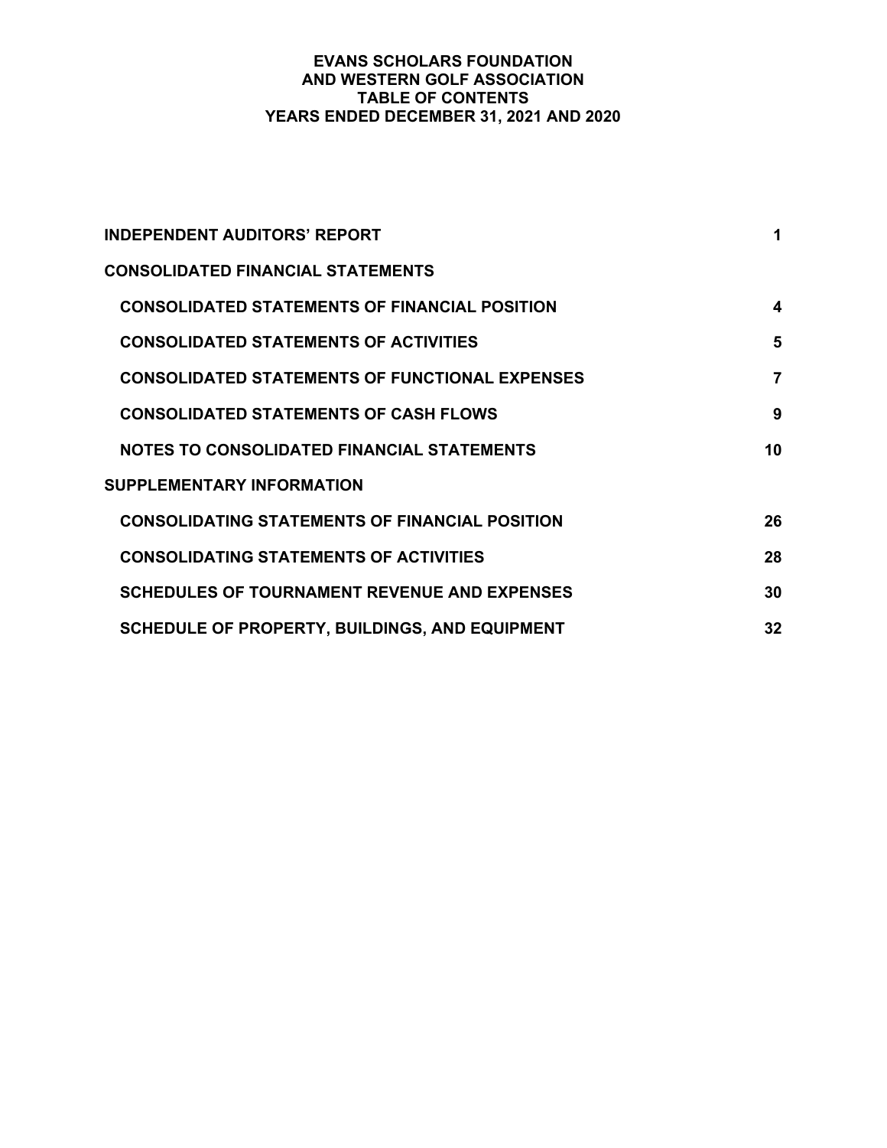# **EVANS SCHOLARS FOUNDATION AND WESTERN GOLF ASSOCIATION TABLE OF CONTENTS YEARS ENDED DECEMBER 31, 2021 AND 2020**

| <b>INDEPENDENT AUDITORS' REPORT</b>                   |    |
|-------------------------------------------------------|----|
| <b>CONSOLIDATED FINANCIAL STATEMENTS</b>              |    |
| <b>CONSOLIDATED STATEMENTS OF FINANCIAL POSITION</b>  | 4  |
| <b>CONSOLIDATED STATEMENTS OF ACTIVITIES</b>          | 5  |
| <b>CONSOLIDATED STATEMENTS OF FUNCTIONAL EXPENSES</b> | 7  |
| <b>CONSOLIDATED STATEMENTS OF CASH FLOWS</b>          | 9  |
| <b>NOTES TO CONSOLIDATED FINANCIAL STATEMENTS</b>     | 10 |
| <b>SUPPLEMENTARY INFORMATION</b>                      |    |
| <b>CONSOLIDATING STATEMENTS OF FINANCIAL POSITION</b> | 26 |
| <b>CONSOLIDATING STATEMENTS OF ACTIVITIES</b>         | 28 |
| <b>SCHEDULES OF TOURNAMENT REVENUE AND EXPENSES</b>   | 30 |
| <b>SCHEDULE OF PROPERTY, BUILDINGS, AND EQUIPMENT</b> | 32 |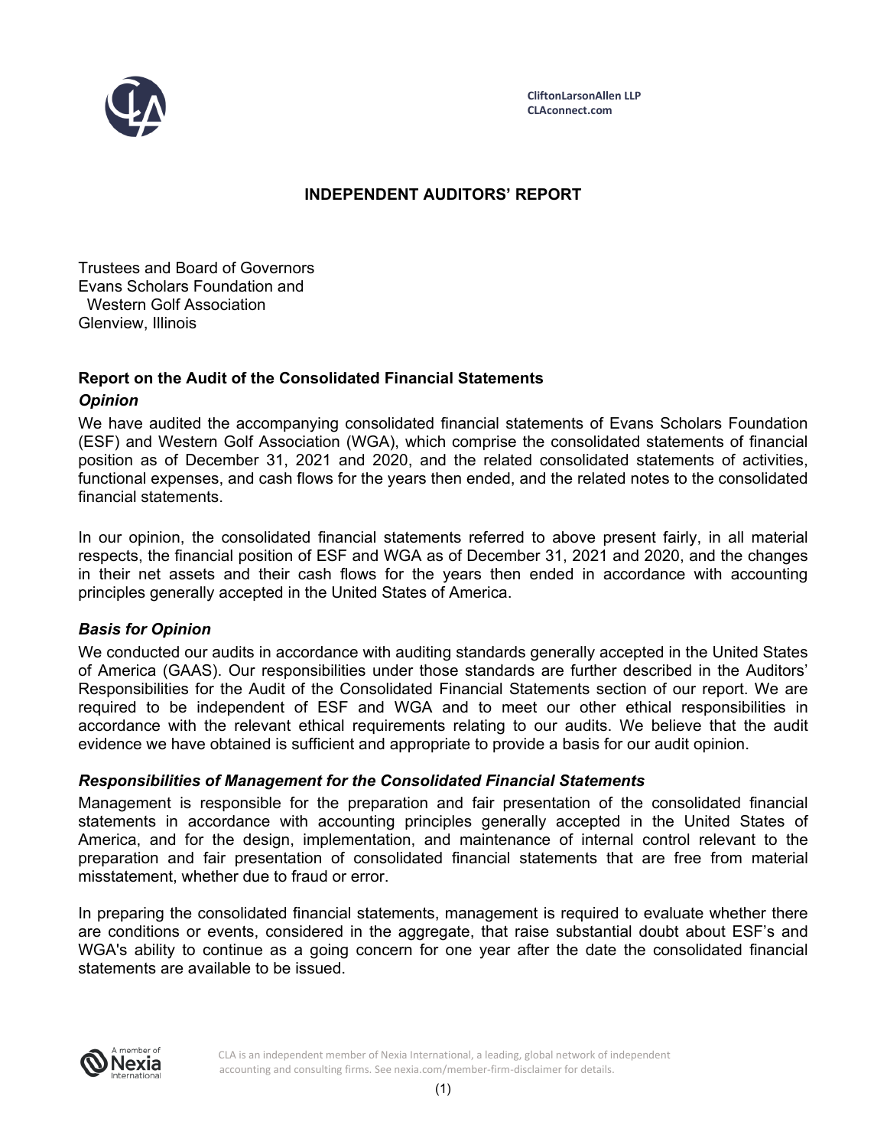

**CliftonLarsonAllen LLP CLAconnect.com**

# **INDEPENDENT AUDITORS' REPORT**

Trustees and Board of Governors Evans Scholars Foundation and Western Golf Association Glenview, Illinois

## **Report on the Audit of the Consolidated Financial Statements**

## *Opinion*

We have audited the accompanying consolidated financial statements of Evans Scholars Foundation (ESF) and Western Golf Association (WGA), which comprise the consolidated statements of financial position as of December 31, 2021 and 2020, and the related consolidated statements of activities, functional expenses, and cash flows for the years then ended, and the related notes to the consolidated financial statements.

In our opinion, the consolidated financial statements referred to above present fairly, in all material respects, the financial position of ESF and WGA as of December 31, 2021 and 2020, and the changes in their net assets and their cash flows for the years then ended in accordance with accounting principles generally accepted in the United States of America.

# *Basis for Opinion*

We conducted our audits in accordance with auditing standards generally accepted in the United States of America (GAAS). Our responsibilities under those standards are further described in the Auditors' Responsibilities for the Audit of the Consolidated Financial Statements section of our report. We are required to be independent of ESF and WGA and to meet our other ethical responsibilities in accordance with the relevant ethical requirements relating to our audits. We believe that the audit evidence we have obtained is sufficient and appropriate to provide a basis for our audit opinion.

# *Responsibilities of Management for the Consolidated Financial Statements*

Management is responsible for the preparation and fair presentation of the consolidated financial statements in accordance with accounting principles generally accepted in the United States of America, and for the design, implementation, and maintenance of internal control relevant to the preparation and fair presentation of consolidated financial statements that are free from material misstatement, whether due to fraud or error.

In preparing the consolidated financial statements, management is required to evaluate whether there are conditions or events, considered in the aggregate, that raise substantial doubt about ESF's and WGA's ability to continue as a going concern for one year after the date the consolidated financial statements are available to be issued.



CLA is an independent member of Nexia International, a leading, global network of independent accounting and consulting firms. See nexia.com/member-firm-disclaimer for details.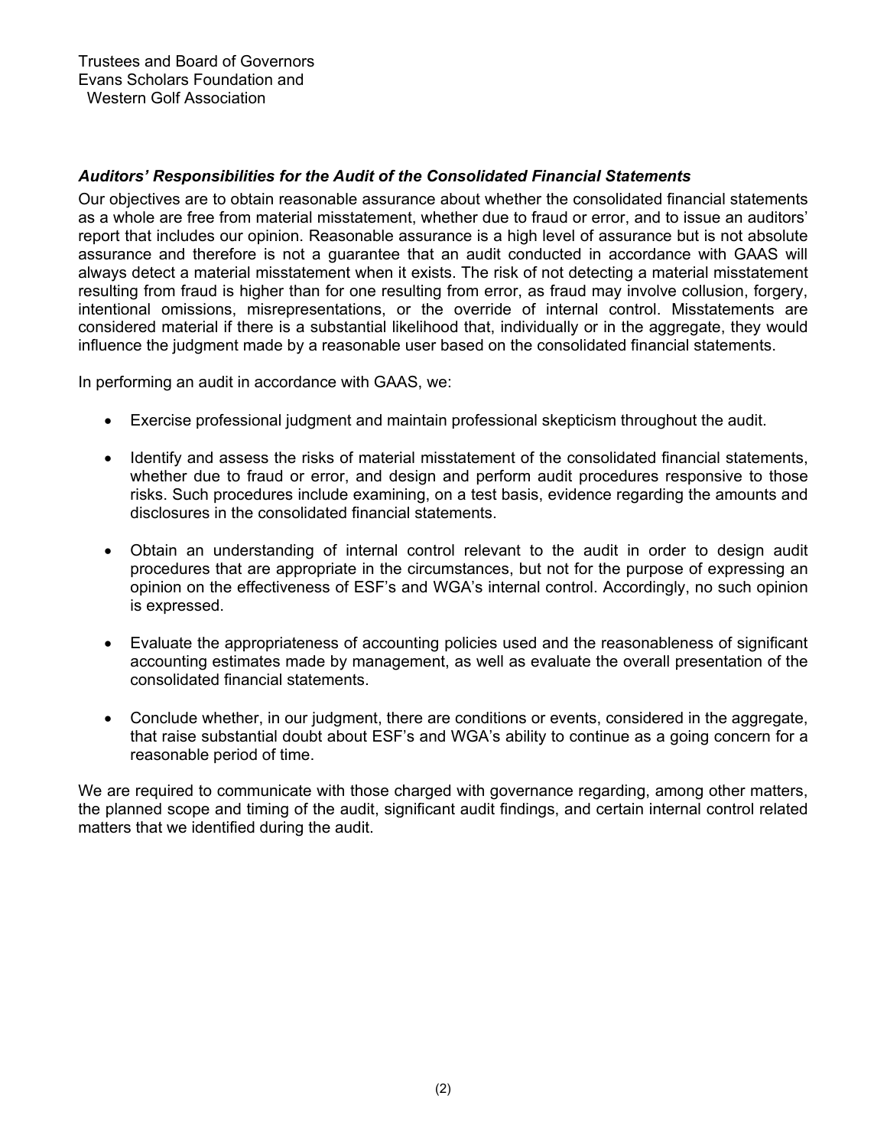# *Auditors' Responsibilities for the Audit of the Consolidated Financial Statements*

Our objectives are to obtain reasonable assurance about whether the consolidated financial statements as a whole are free from material misstatement, whether due to fraud or error, and to issue an auditors' report that includes our opinion. Reasonable assurance is a high level of assurance but is not absolute assurance and therefore is not a guarantee that an audit conducted in accordance with GAAS will always detect a material misstatement when it exists. The risk of not detecting a material misstatement resulting from fraud is higher than for one resulting from error, as fraud may involve collusion, forgery, intentional omissions, misrepresentations, or the override of internal control. Misstatements are considered material if there is a substantial likelihood that, individually or in the aggregate, they would influence the judgment made by a reasonable user based on the consolidated financial statements.

In performing an audit in accordance with GAAS, we:

- Exercise professional judgment and maintain professional skepticism throughout the audit.
- Identify and assess the risks of material misstatement of the consolidated financial statements, whether due to fraud or error, and design and perform audit procedures responsive to those risks. Such procedures include examining, on a test basis, evidence regarding the amounts and disclosures in the consolidated financial statements.
- Obtain an understanding of internal control relevant to the audit in order to design audit procedures that are appropriate in the circumstances, but not for the purpose of expressing an opinion on the effectiveness of ESF's and WGA's internal control. Accordingly, no such opinion is expressed.
- Evaluate the appropriateness of accounting policies used and the reasonableness of significant accounting estimates made by management, as well as evaluate the overall presentation of the consolidated financial statements.
- Conclude whether, in our judgment, there are conditions or events, considered in the aggregate, that raise substantial doubt about ESF's and WGA's ability to continue as a going concern for a reasonable period of time.

We are required to communicate with those charged with governance regarding, among other matters, the planned scope and timing of the audit, significant audit findings, and certain internal control related matters that we identified during the audit.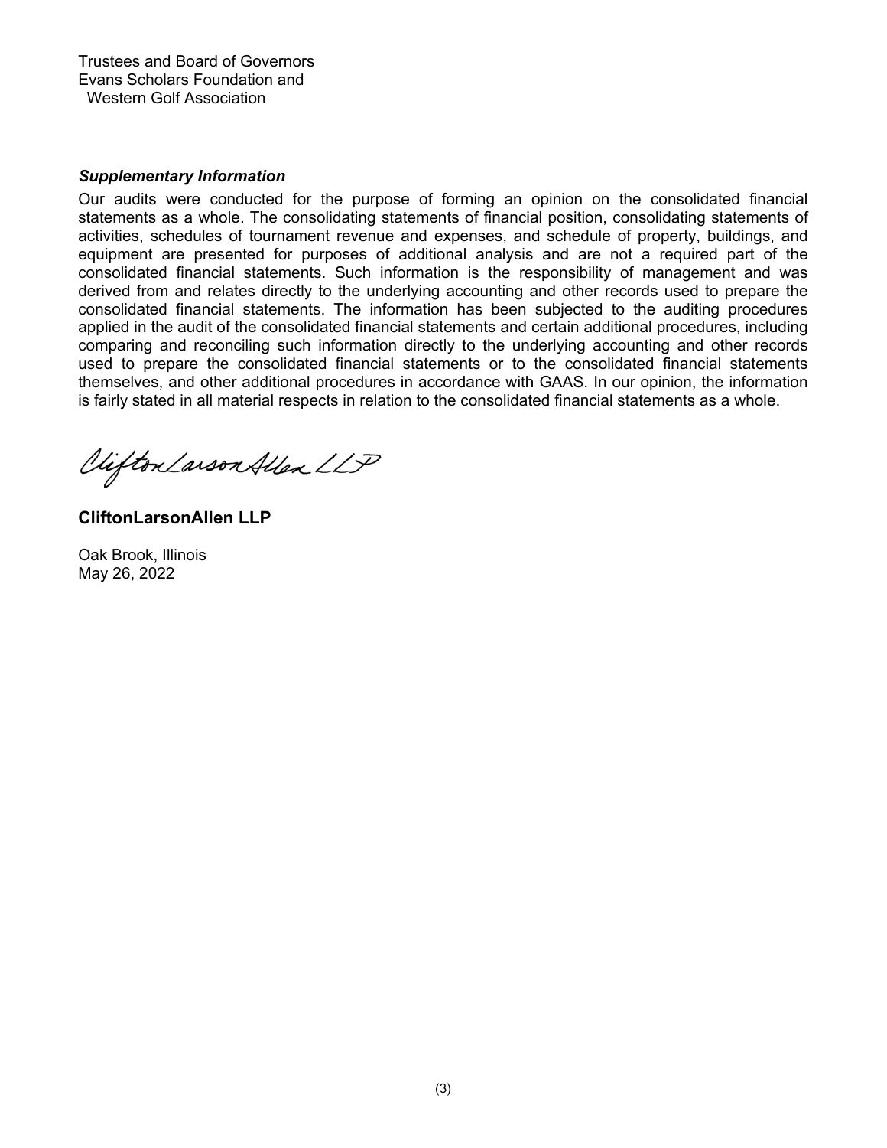Trustees and Board of Governors Evans Scholars Foundation and Western Golf Association

## *Supplementary Information*

Our audits were conducted for the purpose of forming an opinion on the consolidated financial statements as a whole. The consolidating statements of financial position, consolidating statements of activities, schedules of tournament revenue and expenses, and schedule of property, buildings, and equipment are presented for purposes of additional analysis and are not a required part of the consolidated financial statements. Such information is the responsibility of management and was derived from and relates directly to the underlying accounting and other records used to prepare the consolidated financial statements. The information has been subjected to the auditing procedures applied in the audit of the consolidated financial statements and certain additional procedures, including comparing and reconciling such information directly to the underlying accounting and other records used to prepare the consolidated financial statements or to the consolidated financial statements themselves, and other additional procedures in accordance with GAAS. In our opinion, the information is fairly stated in all material respects in relation to the consolidated financial statements as a whole.

Vifton Larson Allen LLP

**CliftonLarsonAllen LLP** 

Oak Brook, Illinois May 26, 2022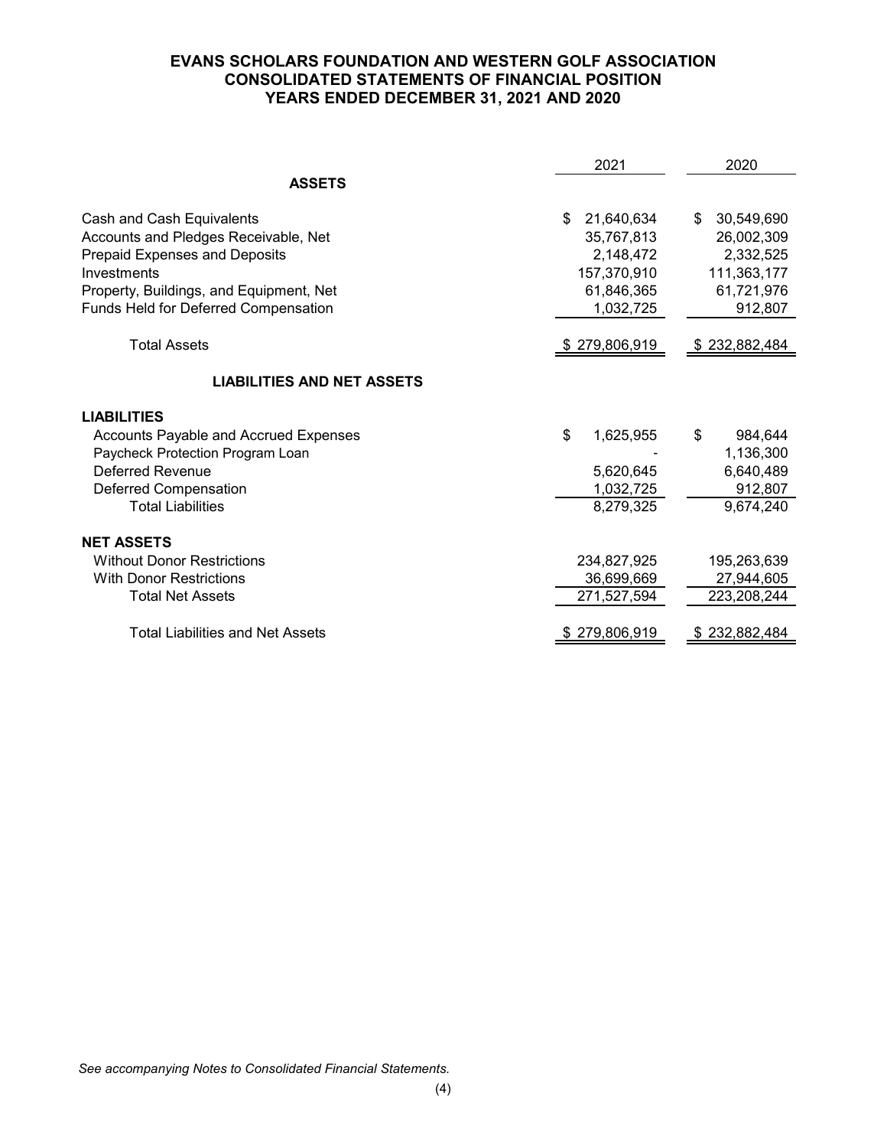## **EVANS SCHOLARS FOUNDATION AND WESTERN GOLF ASSOCIATION CONSOLIDATED STATEMENTS OF FINANCIAL POSITION YEARS ENDED DECEMBER 31, 2021 AND 2020**

|                                         | 2021             | 2020             |
|-----------------------------------------|------------------|------------------|
| <b>ASSETS</b>                           |                  |                  |
| Cash and Cash Equivalents               | \$<br>21,640,634 | 30,549,690<br>\$ |
| Accounts and Pledges Receivable, Net    | 35,767,813       | 26,002,309       |
| <b>Prepaid Expenses and Deposits</b>    | 2,148,472        | 2,332,525        |
| Investments                             | 157,370,910      | 111,363,177      |
| Property, Buildings, and Equipment, Net | 61,846,365       | 61,721,976       |
| Funds Held for Deferred Compensation    | 1,032,725        | 912,807          |
| <b>Total Assets</b>                     | \$279,806,919    | \$232,882,484    |
| <b>LIABILITIES AND NET ASSETS</b>       |                  |                  |
| <b>LIABILITIES</b>                      |                  |                  |
| Accounts Payable and Accrued Expenses   | \$<br>1,625,955  | \$<br>984,644    |
| Paycheck Protection Program Loan        |                  | 1,136,300        |
| <b>Deferred Revenue</b>                 | 5,620,645        | 6,640,489        |
| Deferred Compensation                   | 1,032,725        | 912,807          |
| <b>Total Liabilities</b>                | 8,279,325        | 9,674,240        |
| <b>NET ASSETS</b>                       |                  |                  |
| <b>Without Donor Restrictions</b>       | 234,827,925      | 195,263,639      |
| <b>With Donor Restrictions</b>          | 36,699,669       | 27,944,605       |
| <b>Total Net Assets</b>                 | 271,527,594      | 223,208,244      |
| <b>Total Liabilities and Net Assets</b> | \$279,806,919    | \$232,882,484    |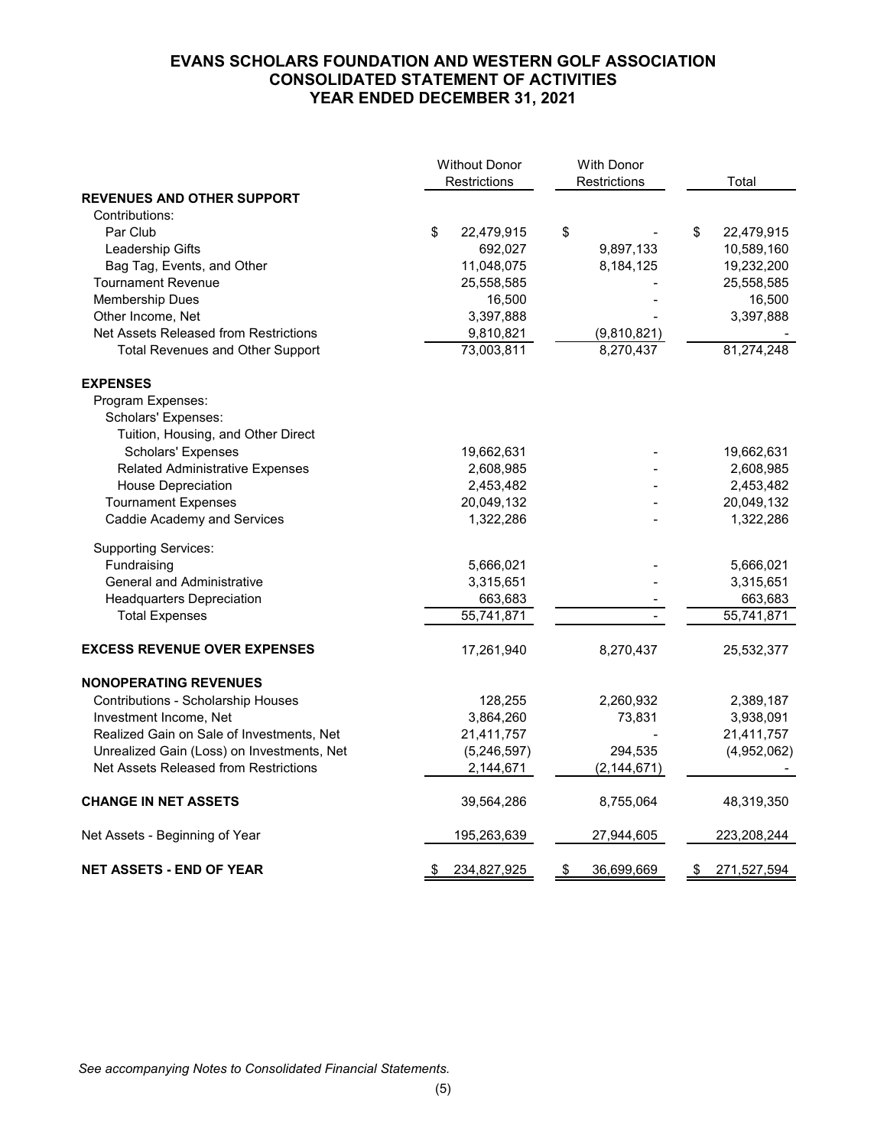## **EVANS SCHOLARS FOUNDATION AND WESTERN GOLF ASSOCIATION CONSOLIDATED STATEMENT OF ACTIVITIES YEAR ENDED DECEMBER 31, 2021**

|                                            | <b>Without Donor</b><br>Restrictions | <b>With Donor</b><br>Restrictions | Total             |
|--------------------------------------------|--------------------------------------|-----------------------------------|-------------------|
| <b>REVENUES AND OTHER SUPPORT</b>          |                                      |                                   |                   |
| Contributions:                             |                                      |                                   |                   |
| Par Club                                   | \$<br>22,479,915                     | \$                                | \$<br>22,479,915  |
| Leadership Gifts                           | 692,027                              | 9,897,133                         | 10,589,160        |
| Bag Tag, Events, and Other                 | 11,048,075                           | 8,184,125                         | 19,232,200        |
| <b>Tournament Revenue</b>                  | 25,558,585                           |                                   | 25,558,585        |
| <b>Membership Dues</b>                     | 16,500                               |                                   | 16,500            |
| Other Income, Net                          | 3,397,888                            |                                   | 3,397,888         |
| Net Assets Released from Restrictions      | 9,810,821                            | (9,810,821)                       |                   |
| <b>Total Revenues and Other Support</b>    | 73,003,811                           | 8,270,437                         | 81,274,248        |
| <b>EXPENSES</b>                            |                                      |                                   |                   |
| Program Expenses:                          |                                      |                                   |                   |
| Scholars' Expenses:                        |                                      |                                   |                   |
| Tuition, Housing, and Other Direct         |                                      |                                   |                   |
| Scholars' Expenses                         | 19,662,631                           |                                   | 19,662,631        |
| <b>Related Administrative Expenses</b>     | 2,608,985                            |                                   | 2,608,985         |
| House Depreciation                         | 2,453,482                            |                                   | 2,453,482         |
| <b>Tournament Expenses</b>                 | 20,049,132                           |                                   | 20,049,132        |
| Caddie Academy and Services                | 1,322,286                            |                                   | 1,322,286         |
| <b>Supporting Services:</b>                |                                      |                                   |                   |
| Fundraising                                | 5,666,021                            |                                   | 5,666,021         |
| <b>General and Administrative</b>          | 3,315,651                            |                                   | 3,315,651         |
| <b>Headquarters Depreciation</b>           | 663,683                              |                                   | 663,683           |
| <b>Total Expenses</b>                      | 55,741,871                           |                                   | 55,741,871        |
| <b>EXCESS REVENUE OVER EXPENSES</b>        | 17,261,940                           | 8,270,437                         | 25,532,377        |
| <b>NONOPERATING REVENUES</b>               |                                      |                                   |                   |
| Contributions - Scholarship Houses         | 128,255                              | 2,260,932                         | 2,389,187         |
| Investment Income, Net                     | 3,864,260                            | 73,831                            | 3,938,091         |
| Realized Gain on Sale of Investments, Net  | 21,411,757                           |                                   | 21,411,757        |
| Unrealized Gain (Loss) on Investments, Net | (5,246,597)                          | 294,535                           | (4,952,062)       |
| Net Assets Released from Restrictions      | 2,144,671                            | (2, 144, 671)                     |                   |
| <b>CHANGE IN NET ASSETS</b>                | 39,564,286                           | 8,755,064                         | 48,319,350        |
| Net Assets - Beginning of Year             | 195,263,639                          | 27,944,605                        | 223,208,244       |
| <b>NET ASSETS - END OF YEAR</b>            | \$<br>234,827,925                    | \$<br>36,699,669                  | \$<br>271,527,594 |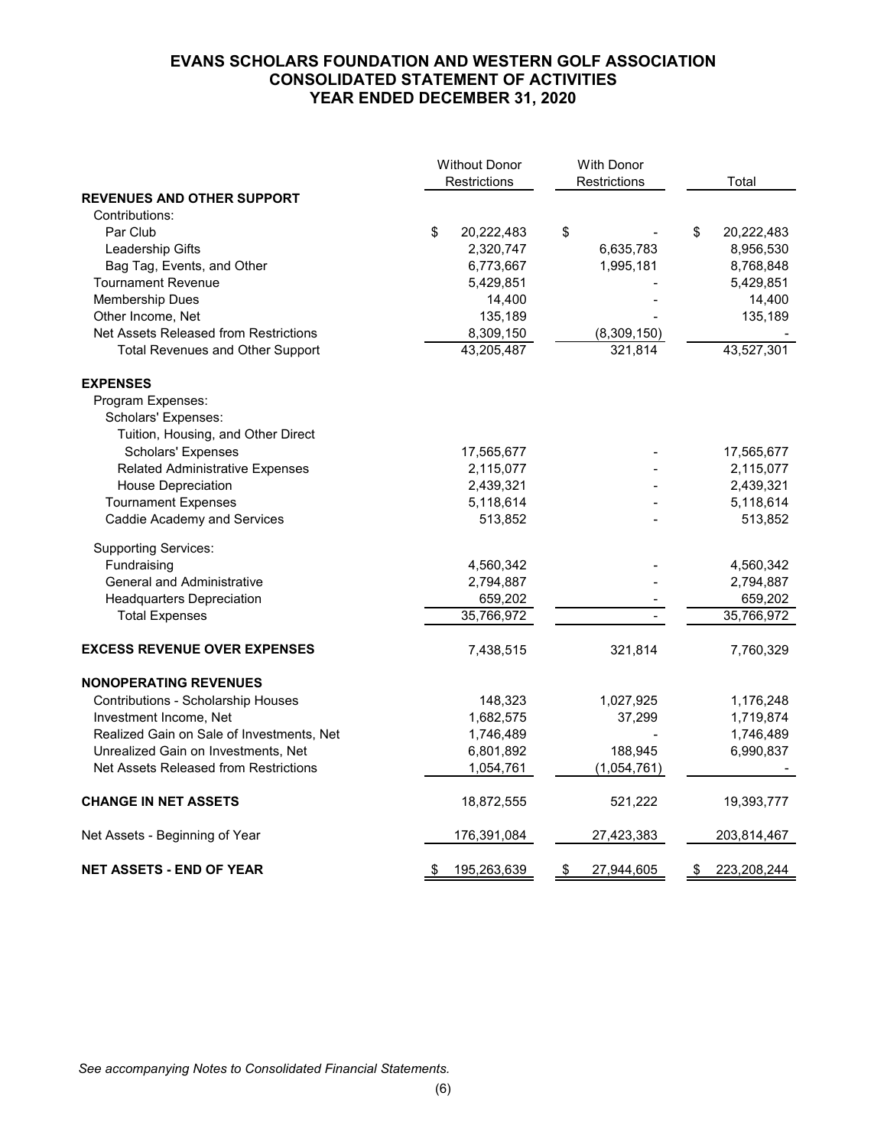## **EVANS SCHOLARS FOUNDATION AND WESTERN GOLF ASSOCIATION CONSOLIDATED STATEMENT OF ACTIVITIES YEAR ENDED DECEMBER 31, 2020**

|                                           | <b>Without Donor</b><br>Restrictions | <b>With Donor</b><br>Restrictions | Total             |
|-------------------------------------------|--------------------------------------|-----------------------------------|-------------------|
| <b>REVENUES AND OTHER SUPPORT</b>         |                                      |                                   |                   |
| Contributions:                            |                                      |                                   |                   |
| Par Club                                  | \$<br>20,222,483                     | \$                                | \$<br>20,222,483  |
| Leadership Gifts                          | 2,320,747                            | 6,635,783                         | 8,956,530         |
| Bag Tag, Events, and Other                | 6,773,667                            | 1,995,181                         | 8,768,848         |
| <b>Tournament Revenue</b>                 | 5,429,851                            |                                   | 5,429,851         |
| <b>Membership Dues</b>                    | 14,400                               |                                   | 14,400            |
| Other Income, Net                         | 135,189                              |                                   | 135,189           |
| Net Assets Released from Restrictions     | 8,309,150                            | (8,309,150)                       |                   |
| <b>Total Revenues and Other Support</b>   | 43,205,487                           | 321,814                           | 43,527,301        |
| <b>EXPENSES</b>                           |                                      |                                   |                   |
| Program Expenses:                         |                                      |                                   |                   |
| Scholars' Expenses:                       |                                      |                                   |                   |
| Tuition, Housing, and Other Direct        |                                      |                                   |                   |
| Scholars' Expenses                        | 17,565,677                           |                                   | 17,565,677        |
| <b>Related Administrative Expenses</b>    | 2,115,077                            |                                   | 2,115,077         |
| House Depreciation                        | 2,439,321                            |                                   | 2,439,321         |
| <b>Tournament Expenses</b>                | 5,118,614                            |                                   | 5,118,614         |
| Caddie Academy and Services               | 513,852                              |                                   | 513,852           |
| <b>Supporting Services:</b>               |                                      |                                   |                   |
| Fundraising                               | 4,560,342                            |                                   | 4,560,342         |
| <b>General and Administrative</b>         | 2,794,887                            |                                   | 2,794,887         |
| <b>Headquarters Depreciation</b>          | 659,202                              |                                   | 659,202           |
| <b>Total Expenses</b>                     | 35,766,972                           |                                   | 35,766,972        |
| <b>EXCESS REVENUE OVER EXPENSES</b>       | 7,438,515                            | 321,814                           | 7,760,329         |
| <b>NONOPERATING REVENUES</b>              |                                      |                                   |                   |
| Contributions - Scholarship Houses        | 148,323                              | 1,027,925                         | 1,176,248         |
| Investment Income, Net                    | 1,682,575                            | 37,299                            | 1,719,874         |
| Realized Gain on Sale of Investments, Net | 1,746,489                            |                                   | 1,746,489         |
| Unrealized Gain on Investments, Net       | 6,801,892                            | 188,945                           | 6,990,837         |
| Net Assets Released from Restrictions     | 1,054,761                            | (1,054,761)                       |                   |
| <b>CHANGE IN NET ASSETS</b>               | 18,872,555                           | 521,222                           | 19,393,777        |
| Net Assets - Beginning of Year            | 176,391,084                          | 27,423,383                        | 203,814,467       |
| <b>NET ASSETS - END OF YEAR</b>           | \$<br>195,263,639                    | \$<br>27,944,605                  | \$<br>223,208,244 |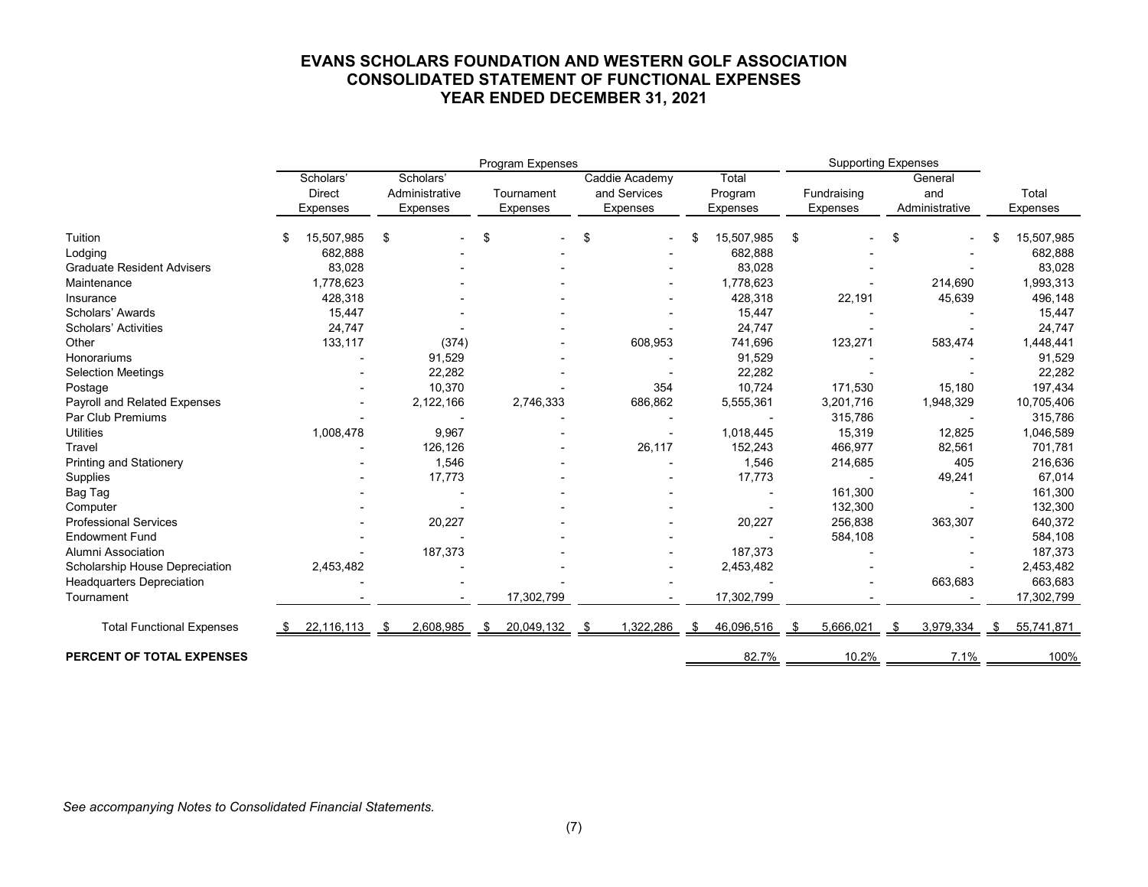#### **EVANS SCHOLARS FOUNDATION AND WESTERN GOLF ASSOCIATION CONSOLIDATED STATEMENT OF FUNCTIONAL EXPENSES YEAR ENDED DECEMBER 31, 2021**

|                                   | Program Expenses |                             |                 |    |            |                |            | <b>Supporting Expenses</b> |                 |    |           |    |                |     |            |
|-----------------------------------|------------------|-----------------------------|-----------------|----|------------|----------------|------------|----------------------------|-----------------|----|-----------|----|----------------|-----|------------|
|                                   | Scholars'        | Scholars'<br>Administrative |                 |    |            | Caddie Academy |            |                            | Total           |    |           |    | General        |     |            |
|                                   | <b>Direct</b>    |                             |                 |    |            |                | Tournament |                            | and Services    |    | Program   |    | Fundraising    | and |            |
|                                   | <b>Expenses</b>  |                             | <b>Expenses</b> |    | Expenses   |                | Expenses   |                            | <b>Expenses</b> |    | Expenses  |    | Administrative |     | Expenses   |
| Tuition                           | 15,507,985       | \$                          |                 | \$ |            | \$             |            |                            | 15,507,985      | \$ |           | \$ |                |     | 15,507,985 |
| Lodging                           | 682,888          |                             |                 |    |            |                |            |                            | 682,888         |    |           |    |                |     | 682,888    |
| <b>Graduate Resident Advisers</b> | 83,028           |                             |                 |    |            |                |            |                            | 83,028          |    |           |    |                |     | 83,028     |
| Maintenance                       | 1,778,623        |                             |                 |    |            |                |            |                            | 1,778,623       |    |           |    | 214,690        |     | 1,993,313  |
| Insurance                         | 428,318          |                             |                 |    |            |                |            |                            | 428,318         |    | 22,191    |    | 45,639         |     | 496,148    |
| Scholars' Awards                  | 15,447           |                             |                 |    |            |                |            |                            | 15,447          |    |           |    |                |     | 15,447     |
| <b>Scholars' Activities</b>       | 24,747           |                             |                 |    |            |                |            |                            | 24,747          |    |           |    |                |     | 24,747     |
| Other                             | 133,117          |                             | (374)           |    |            |                | 608,953    |                            | 741,696         |    | 123,271   |    | 583,474        |     | 1,448,441  |
| Honorariums                       |                  |                             | 91,529          |    |            |                |            |                            | 91,529          |    |           |    |                |     | 91,529     |
| <b>Selection Meetings</b>         |                  |                             | 22,282          |    |            |                |            |                            | 22,282          |    |           |    |                |     | 22,282     |
| Postage                           |                  |                             | 10,370          |    |            |                | 354        |                            | 10,724          |    | 171,530   |    | 15,180         |     | 197,434    |
| Payroll and Related Expenses      |                  |                             | 2,122,166       |    | 2,746,333  |                | 686,862    |                            | 5,555,361       |    | 3,201,716 |    | 1,948,329      |     | 10,705,406 |
| Par Club Premiums                 |                  |                             |                 |    |            |                |            |                            |                 |    | 315,786   |    |                |     | 315,786    |
| <b>Utilities</b>                  | 1,008,478        |                             | 9,967           |    |            |                |            |                            | 1,018,445       |    | 15,319    |    | 12,825         |     | 1,046,589  |
| Travel                            |                  |                             | 126,126         |    |            |                | 26,117     |                            | 152,243         |    | 466,977   |    | 82,561         |     | 701,781    |
| <b>Printing and Stationery</b>    |                  |                             | 1,546           |    |            |                |            |                            | 1,546           |    | 214,685   |    | 405            |     | 216,636    |
| Supplies                          |                  |                             | 17,773          |    |            |                |            |                            | 17,773          |    |           |    | 49,241         |     | 67,014     |
| Bag Tag                           |                  |                             |                 |    |            |                |            |                            |                 |    | 161,300   |    |                |     | 161,300    |
| Computer                          |                  |                             |                 |    |            |                |            |                            |                 |    | 132,300   |    |                |     | 132,300    |
| <b>Professional Services</b>      |                  |                             | 20,227          |    |            |                |            |                            | 20,227          |    | 256,838   |    | 363,307        |     | 640,372    |
| <b>Endowment Fund</b>             |                  |                             |                 |    |            |                |            |                            |                 |    | 584,108   |    |                |     | 584,108    |
| <b>Alumni Association</b>         |                  |                             | 187,373         |    |            |                |            |                            | 187,373         |    |           |    |                |     | 187,373    |
| Scholarship House Depreciation    | 2,453,482        |                             |                 |    |            |                |            |                            | 2,453,482       |    |           |    |                |     | 2,453,482  |
| <b>Headquarters Depreciation</b>  |                  |                             |                 |    |            |                |            |                            |                 |    |           |    | 663,683        |     | 663,683    |
| Tournament                        |                  |                             |                 |    | 17,302,799 |                |            |                            | 17,302,799      |    |           |    |                |     | 17,302,799 |
| <b>Total Functional Expenses</b>  | 22,116,113       | - \$                        | 2,608,985       | \$ | 20,049,132 | - \$           | 1,322,286  | S                          | 46,096,516      |    | 5,666,021 | \$ | 3,979,334      | S   | 55,741,871 |
| PERCENT OF TOTAL EXPENSES         |                  |                             |                 |    |            |                |            |                            | 82.7%           |    | 10.2%     |    | 7.1%           |     | 100%       |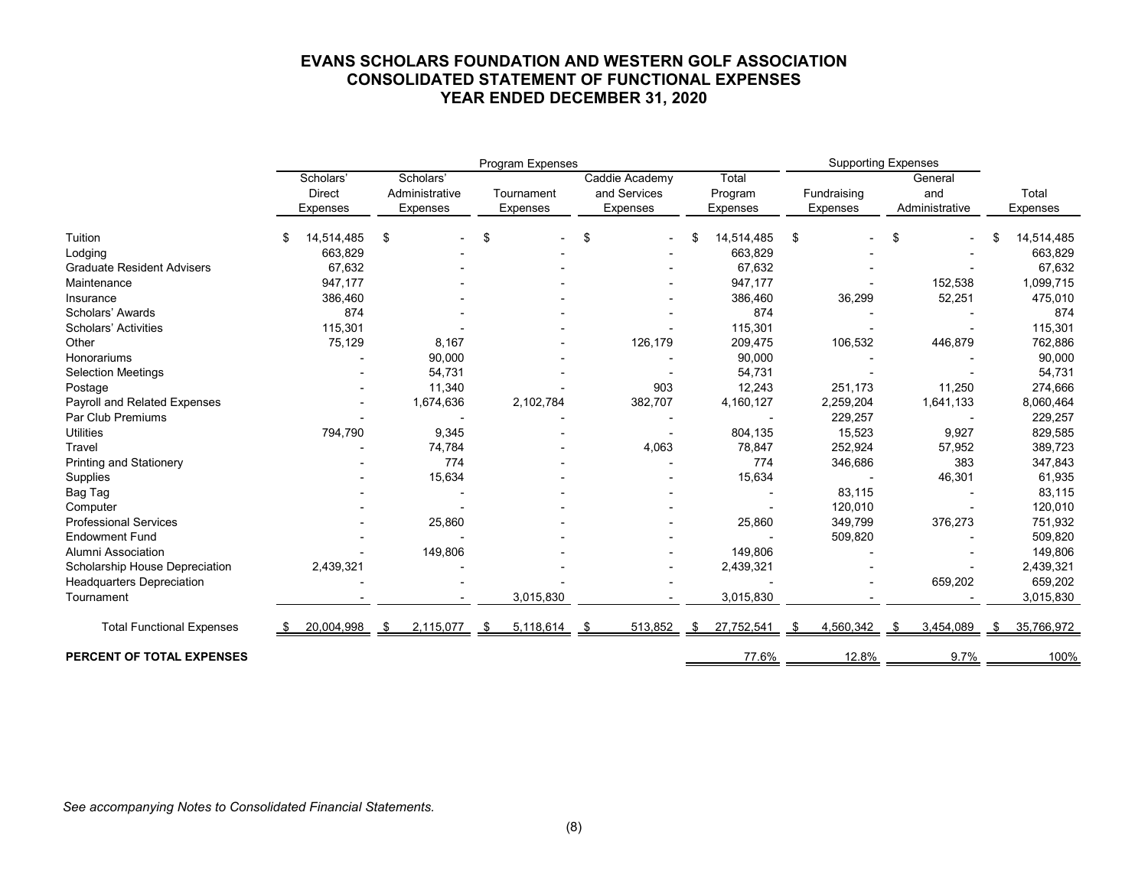#### **EVANS SCHOLARS FOUNDATION AND WESTERN GOLF ASSOCIATION CONSOLIDATED STATEMENT OF FUNCTIONAL EXPENSES YEAR ENDED DECEMBER 31, 2020**

|                                   | <b>Program Expenses</b> |                |           |    |           |      | <b>Supporting Expenses</b> |    |                 |    |           |                |           |          |            |  |       |
|-----------------------------------|-------------------------|----------------|-----------|----|-----------|------|----------------------------|----|-----------------|----|-----------|----------------|-----------|----------|------------|--|-------|
|                                   | Scholars'               |                | Scholars' |    |           |      | Caddie Academy             |    | Total           |    |           |                | General   |          |            |  |       |
|                                   | <b>Direct</b>           | Administrative |           |    |           |      | Tournament                 |    | and Services    |    | Program   | Fundraising    |           |          | and        |  | Total |
|                                   | <b>Expenses</b>         |                | Expenses  |    | Expenses  |      | Expenses                   |    | <b>Expenses</b> |    | Expenses  | Administrative |           | Expenses |            |  |       |
| Tuition                           | 14,514,485              | \$             |           | \$ |           | \$   |                            |    | 14,514,485      | \$ |           | \$             |           |          | 14,514,485 |  |       |
| Lodging                           | 663,829                 |                |           |    |           |      |                            |    | 663,829         |    |           |                |           |          | 663,829    |  |       |
| <b>Graduate Resident Advisers</b> | 67,632                  |                |           |    |           |      |                            |    | 67,632          |    |           |                |           |          | 67,632     |  |       |
| Maintenance                       | 947,177                 |                |           |    |           |      |                            |    | 947,177         |    |           |                | 152,538   |          | 1,099,715  |  |       |
| Insurance                         | 386,460                 |                |           |    |           |      |                            |    | 386,460         |    | 36,299    |                | 52,251    |          | 475,010    |  |       |
| Scholars' Awards                  | 874                     |                |           |    |           |      |                            |    | 874             |    |           |                |           |          | 874        |  |       |
| <b>Scholars' Activities</b>       | 115,301                 |                |           |    |           |      |                            |    | 115,301         |    |           |                |           |          | 115,301    |  |       |
| Other                             | 75,129                  |                | 8,167     |    |           |      | 126,179                    |    | 209,475         |    | 106,532   |                | 446,879   |          | 762,886    |  |       |
| Honorariums                       |                         |                | 90,000    |    |           |      |                            |    | 90,000          |    |           |                |           |          | 90,000     |  |       |
| <b>Selection Meetings</b>         |                         |                | 54,731    |    |           |      |                            |    | 54,731          |    |           |                |           |          | 54,731     |  |       |
| Postage                           |                         |                | 11,340    |    |           |      | 903                        |    | 12,243          |    | 251,173   |                | 11,250    |          | 274,666    |  |       |
| Payroll and Related Expenses      |                         |                | 1,674,636 |    | 2,102,784 |      | 382,707                    |    | 4,160,127       |    | 2,259,204 |                | 1,641,133 |          | 8,060,464  |  |       |
| Par Club Premiums                 |                         |                |           |    |           |      |                            |    |                 |    | 229,257   |                |           |          | 229,257    |  |       |
| <b>Utilities</b>                  | 794,790                 |                | 9,345     |    |           |      |                            |    | 804,135         |    | 15,523    |                | 9,927     |          | 829,585    |  |       |
| Travel                            |                         |                | 74,784    |    |           |      | 4,063                      |    | 78,847          |    | 252,924   |                | 57,952    |          | 389,723    |  |       |
| <b>Printing and Stationery</b>    |                         |                | 774       |    |           |      |                            |    | 774             |    | 346,686   |                | 383       |          | 347,843    |  |       |
| Supplies                          |                         |                | 15,634    |    |           |      |                            |    | 15,634          |    |           |                | 46,301    |          | 61,935     |  |       |
| Bag Tag                           |                         |                |           |    |           |      |                            |    |                 |    | 83,115    |                |           |          | 83,115     |  |       |
| Computer                          |                         |                |           |    |           |      |                            |    |                 |    | 120,010   |                |           |          | 120,010    |  |       |
| <b>Professional Services</b>      |                         |                | 25,860    |    |           |      |                            |    | 25,860          |    | 349,799   |                | 376,273   |          | 751,932    |  |       |
| <b>Endowment Fund</b>             |                         |                |           |    |           |      |                            |    |                 |    | 509,820   |                |           |          | 509,820    |  |       |
| Alumni Association                |                         |                | 149,806   |    |           |      |                            |    | 149,806         |    |           |                |           |          | 149,806    |  |       |
| Scholarship House Depreciation    | 2,439,321               |                |           |    |           |      |                            |    | 2,439,321       |    |           |                |           |          | 2,439,321  |  |       |
| <b>Headquarters Depreciation</b>  |                         |                |           |    |           |      |                            |    |                 |    |           |                | 659,202   |          | 659,202    |  |       |
| Tournament                        |                         |                |           |    | 3,015,830 |      |                            |    | 3,015,830       |    |           |                |           |          | 3,015,830  |  |       |
| <b>Total Functional Expenses</b>  | 20,004,998              | - \$           | 2,115,077 | \$ | 5,118,614 | - 95 | 513,852                    | \$ | 27,752,541      |    | 4,560,342 | S              | 3,454,089 | S        | 35,766,972 |  |       |
| PERCENT OF TOTAL EXPENSES         |                         |                |           |    |           |      |                            |    | 77.6%           |    | 12.8%     |                | 9.7%      |          | 100%       |  |       |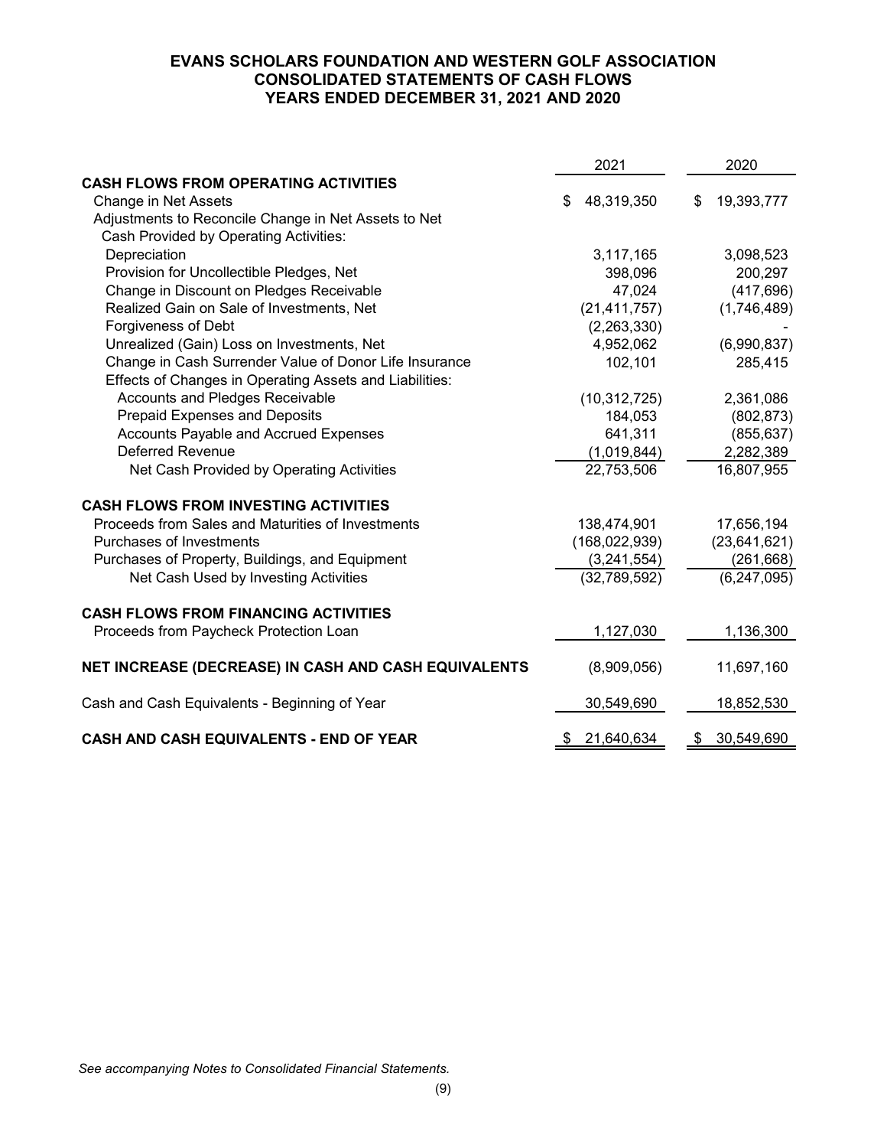## **EVANS SCHOLARS FOUNDATION AND WESTERN GOLF ASSOCIATION CONSOLIDATED STATEMENTS OF CASH FLOWS YEARS ENDED DECEMBER 31, 2021 AND 2020**

|                                                         | 2021             | 2020             |
|---------------------------------------------------------|------------------|------------------|
| <b>CASH FLOWS FROM OPERATING ACTIVITIES</b>             |                  |                  |
| Change in Net Assets                                    | 48,319,350       | 19,393,777<br>\$ |
| Adjustments to Reconcile Change in Net Assets to Net    |                  |                  |
| Cash Provided by Operating Activities:                  |                  |                  |
| Depreciation                                            | 3,117,165        | 3,098,523        |
| Provision for Uncollectible Pledges, Net                | 398,096          | 200,297          |
| Change in Discount on Pledges Receivable                | 47,024           | (417, 696)       |
| Realized Gain on Sale of Investments, Net               | (21, 411, 757)   | (1,746,489)      |
| Forgiveness of Debt                                     | (2,263,330)      |                  |
| Unrealized (Gain) Loss on Investments, Net              | 4,952,062        | (6,990,837)      |
| Change in Cash Surrender Value of Donor Life Insurance  | 102,101          | 285,415          |
| Effects of Changes in Operating Assets and Liabilities: |                  |                  |
| Accounts and Pledges Receivable                         | (10, 312, 725)   | 2,361,086        |
| <b>Prepaid Expenses and Deposits</b>                    | 184,053          | (802, 873)       |
| Accounts Payable and Accrued Expenses                   | 641,311          | (855, 637)       |
| <b>Deferred Revenue</b>                                 | (1,019,844)      | 2,282,389        |
| Net Cash Provided by Operating Activities               | 22,753,506       | 16,807,955       |
| <b>CASH FLOWS FROM INVESTING ACTIVITIES</b>             |                  |                  |
| Proceeds from Sales and Maturities of Investments       | 138,474,901      | 17,656,194       |
| Purchases of Investments                                | (168, 022, 939)  | (23, 641, 621)   |
| Purchases of Property, Buildings, and Equipment         | (3,241,554)      | (261, 668)       |
| Net Cash Used by Investing Activities                   | (32,789,592)     | (6, 247, 095)    |
| <b>CASH FLOWS FROM FINANCING ACTIVITIES</b>             |                  |                  |
| Proceeds from Paycheck Protection Loan                  | 1,127,030        | 1,136,300        |
| NET INCREASE (DECREASE) IN CASH AND CASH EQUIVALENTS    | (8,909,056)      | 11,697,160       |
| Cash and Cash Equivalents - Beginning of Year           | 30,549,690       | 18,852,530       |
| CASH AND CASH EQUIVALENTS - END OF YEAR                 | 21,640,634<br>\$ | \$<br>30,549,690 |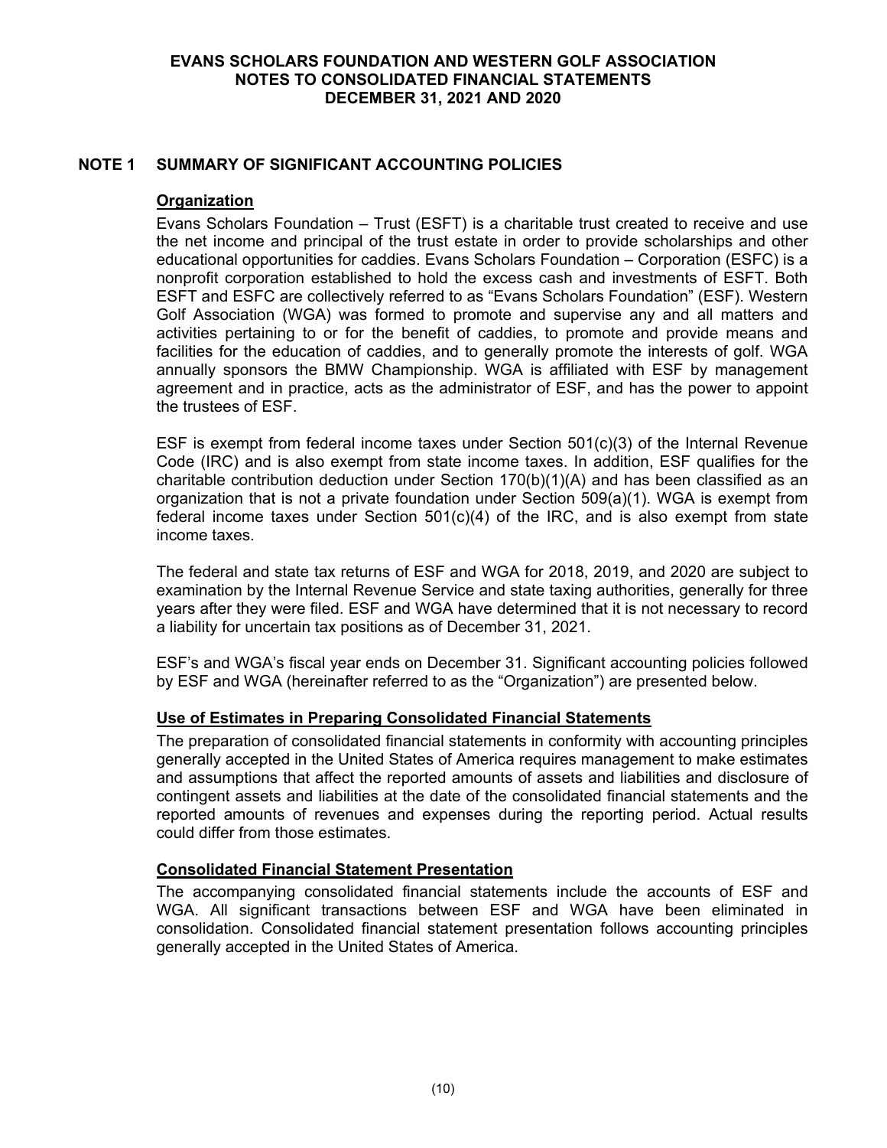# **NOTE 1 SUMMARY OF SIGNIFICANT ACCOUNTING POLICIES**

# **Organization**

Evans Scholars Foundation – Trust (ESFT) is a charitable trust created to receive and use the net income and principal of the trust estate in order to provide scholarships and other educational opportunities for caddies. Evans Scholars Foundation – Corporation (ESFC) is a nonprofit corporation established to hold the excess cash and investments of ESFT. Both ESFT and ESFC are collectively referred to as "Evans Scholars Foundation" (ESF). Western Golf Association (WGA) was formed to promote and supervise any and all matters and activities pertaining to or for the benefit of caddies, to promote and provide means and facilities for the education of caddies, and to generally promote the interests of golf. WGA annually sponsors the BMW Championship. WGA is affiliated with ESF by management agreement and in practice, acts as the administrator of ESF, and has the power to appoint the trustees of ESF.

ESF is exempt from federal income taxes under Section 501(c)(3) of the Internal Revenue Code (IRC) and is also exempt from state income taxes. In addition, ESF qualifies for the charitable contribution deduction under Section 170(b)(1)(A) and has been classified as an organization that is not a private foundation under Section 509(a)(1). WGA is exempt from federal income taxes under Section  $501(c)(4)$  of the IRC, and is also exempt from state income taxes.

The federal and state tax returns of ESF and WGA for 2018, 2019, and 2020 are subject to examination by the Internal Revenue Service and state taxing authorities, generally for three years after they were filed. ESF and WGA have determined that it is not necessary to record a liability for uncertain tax positions as of December 31, 2021.

ESF's and WGA's fiscal year ends on December 31. Significant accounting policies followed by ESF and WGA (hereinafter referred to as the "Organization") are presented below.

# **Use of Estimates in Preparing Consolidated Financial Statements**

The preparation of consolidated financial statements in conformity with accounting principles generally accepted in the United States of America requires management to make estimates and assumptions that affect the reported amounts of assets and liabilities and disclosure of contingent assets and liabilities at the date of the consolidated financial statements and the reported amounts of revenues and expenses during the reporting period. Actual results could differ from those estimates.

## **Consolidated Financial Statement Presentation**

The accompanying consolidated financial statements include the accounts of ESF and WGA. All significant transactions between ESF and WGA have been eliminated in consolidation. Consolidated financial statement presentation follows accounting principles generally accepted in the United States of America.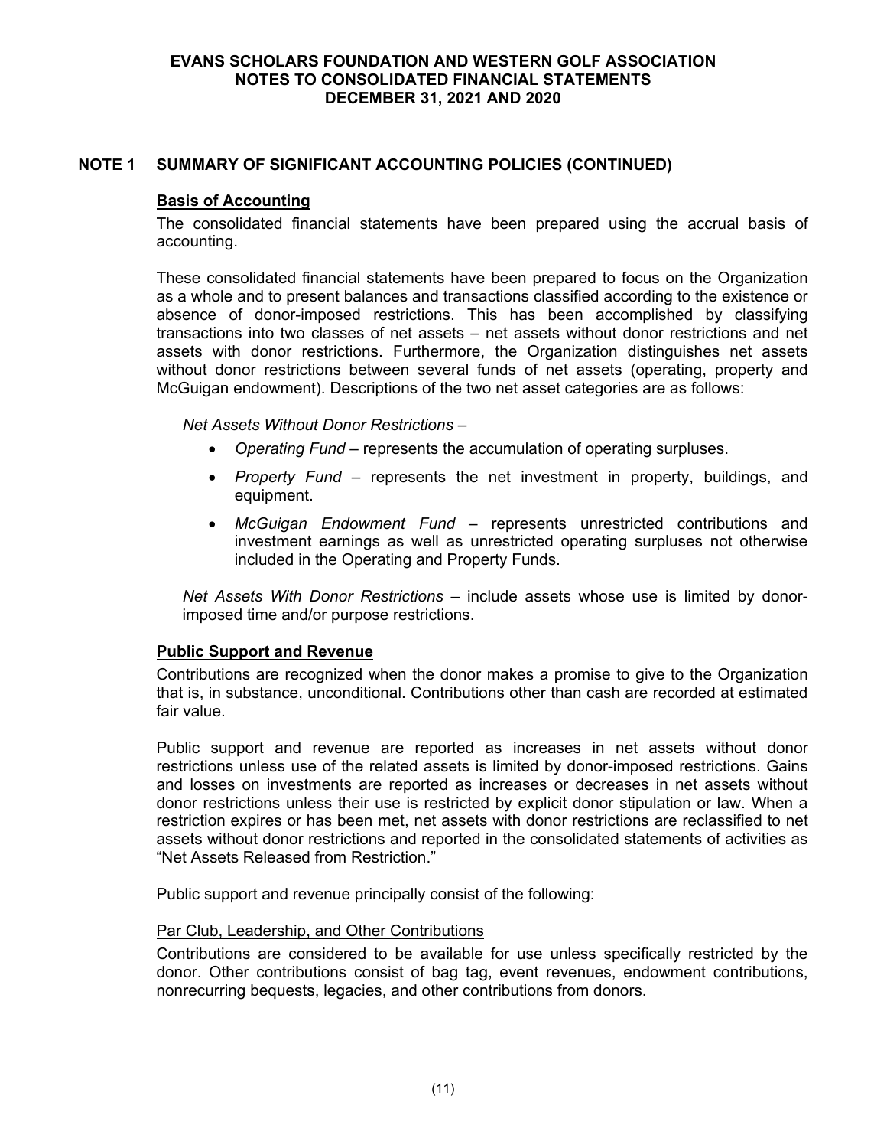# **NOTE 1 SUMMARY OF SIGNIFICANT ACCOUNTING POLICIES (CONTINUED)**

# **Basis of Accounting**

The consolidated financial statements have been prepared using the accrual basis of accounting.

These consolidated financial statements have been prepared to focus on the Organization as a whole and to present balances and transactions classified according to the existence or absence of donor-imposed restrictions. This has been accomplished by classifying transactions into two classes of net assets – net assets without donor restrictions and net assets with donor restrictions. Furthermore, the Organization distinguishes net assets without donor restrictions between several funds of net assets (operating, property and McGuigan endowment). Descriptions of the two net asset categories are as follows:

*Net Assets Without Donor Restrictions* –

- *Operating Fund* represents the accumulation of operating surpluses.
- *Property Fund* represents the net investment in property, buildings, and equipment.
- *McGuigan Endowment Fund* represents unrestricted contributions and investment earnings as well as unrestricted operating surpluses not otherwise included in the Operating and Property Funds.

*Net Assets With Donor Restrictions* – include assets whose use is limited by donorimposed time and/or purpose restrictions.

# **Public Support and Revenue**

Contributions are recognized when the donor makes a promise to give to the Organization that is, in substance, unconditional. Contributions other than cash are recorded at estimated fair value.

Public support and revenue are reported as increases in net assets without donor restrictions unless use of the related assets is limited by donor-imposed restrictions. Gains and losses on investments are reported as increases or decreases in net assets without donor restrictions unless their use is restricted by explicit donor stipulation or law. When a restriction expires or has been met, net assets with donor restrictions are reclassified to net assets without donor restrictions and reported in the consolidated statements of activities as "Net Assets Released from Restriction."

Public support and revenue principally consist of the following:

## Par Club, Leadership, and Other Contributions

Contributions are considered to be available for use unless specifically restricted by the donor. Other contributions consist of bag tag, event revenues, endowment contributions, nonrecurring bequests, legacies, and other contributions from donors.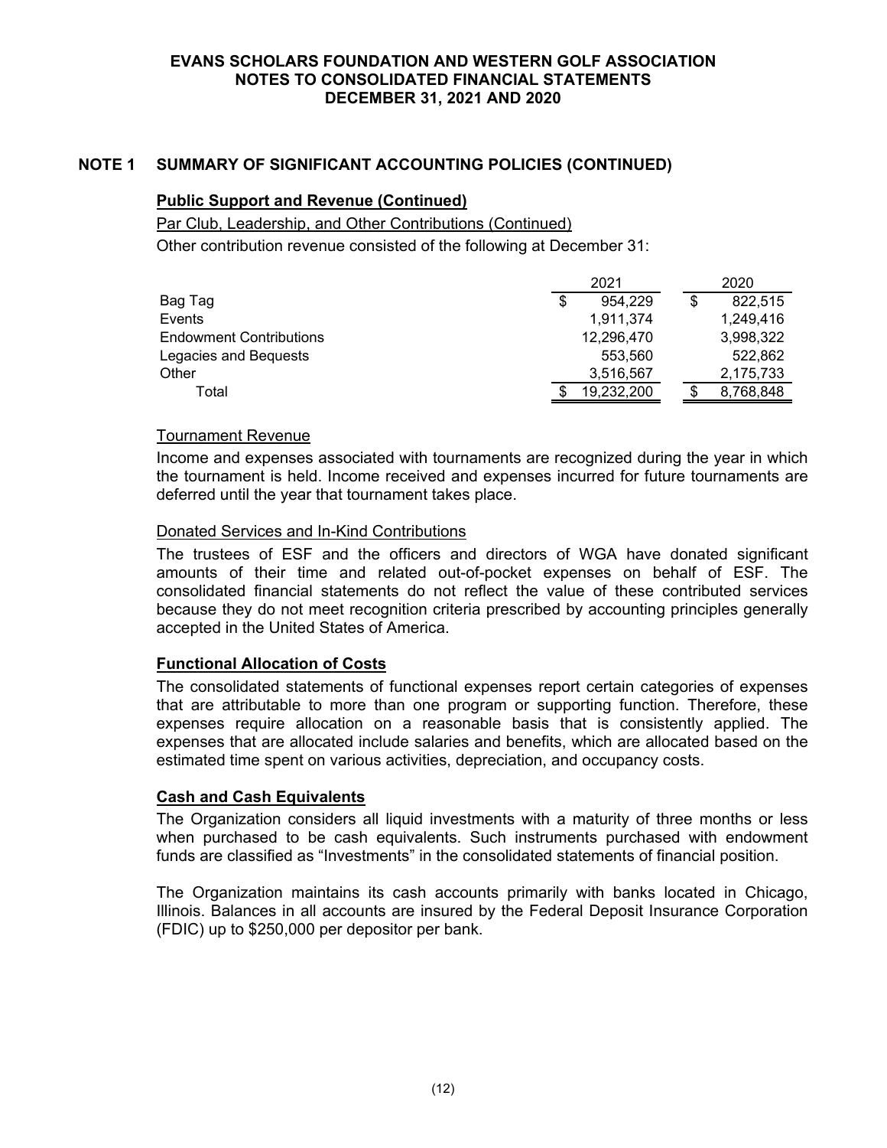# **NOTE 1 SUMMARY OF SIGNIFICANT ACCOUNTING POLICIES (CONTINUED)**

## **Public Support and Revenue (Continued)**

Par Club, Leadership, and Other Contributions (Continued) Other contribution revenue consisted of the following at December 31:

2021 2020 Bag Tag \$ 954,229 \$ 822,515 Events 1,911,374 1,249,416 Endowment Contributions 12,296,470 3,998,322 Legacies and Bequests 553,560 522,862 Other 3,516,567 2,175,733 Total 19,232,200 \$ 8,768,848

## Tournament Revenue

Income and expenses associated with tournaments are recognized during the year in which the tournament is held. Income received and expenses incurred for future tournaments are deferred until the year that tournament takes place.

## Donated Services and In-Kind Contributions

The trustees of ESF and the officers and directors of WGA have donated significant amounts of their time and related out-of-pocket expenses on behalf of ESF. The consolidated financial statements do not reflect the value of these contributed services because they do not meet recognition criteria prescribed by accounting principles generally accepted in the United States of America.

# **Functional Allocation of Costs**

The consolidated statements of functional expenses report certain categories of expenses that are attributable to more than one program or supporting function. Therefore, these expenses require allocation on a reasonable basis that is consistently applied. The expenses that are allocated include salaries and benefits, which are allocated based on the estimated time spent on various activities, depreciation, and occupancy costs.

## **Cash and Cash Equivalents**

The Organization considers all liquid investments with a maturity of three months or less when purchased to be cash equivalents. Such instruments purchased with endowment funds are classified as "Investments" in the consolidated statements of financial position.

The Organization maintains its cash accounts primarily with banks located in Chicago, Illinois. Balances in all accounts are insured by the Federal Deposit Insurance Corporation (FDIC) up to \$250,000 per depositor per bank.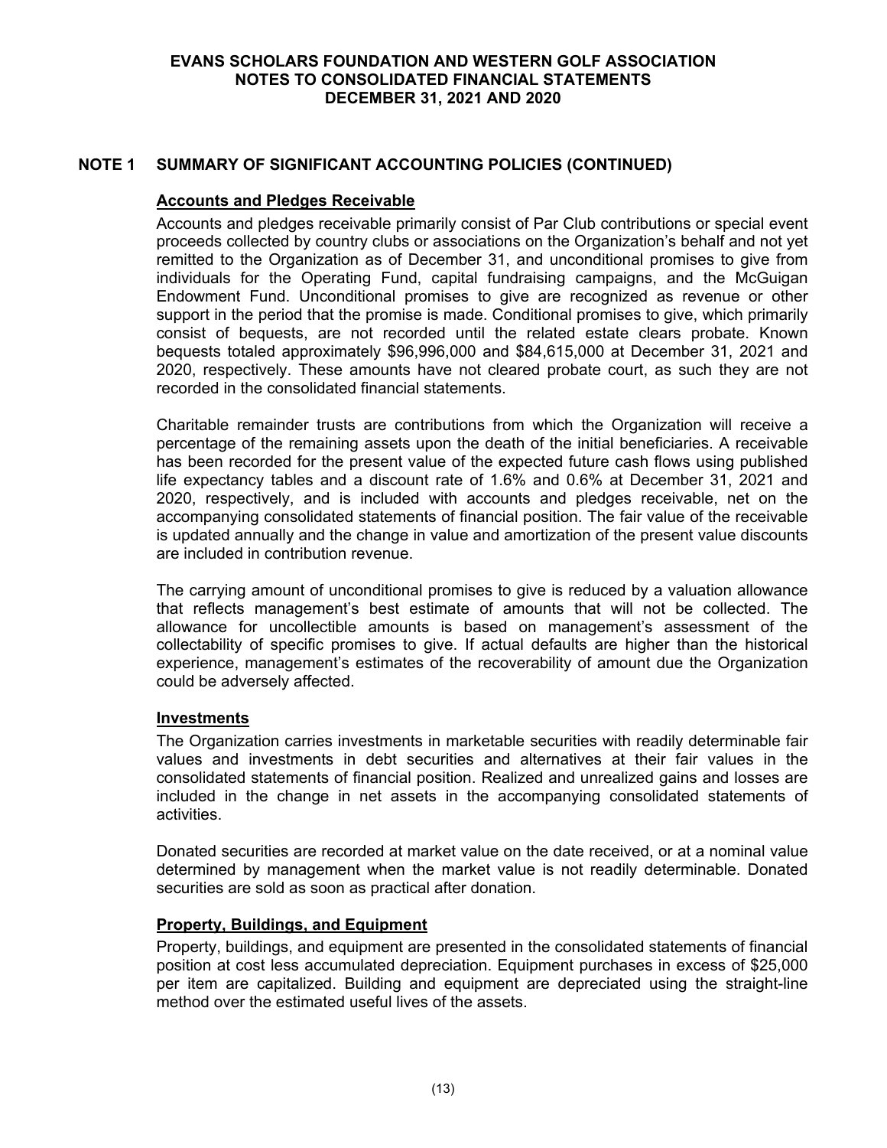# **NOTE 1 SUMMARY OF SIGNIFICANT ACCOUNTING POLICIES (CONTINUED)**

## **Accounts and Pledges Receivable**

Accounts and pledges receivable primarily consist of Par Club contributions or special event proceeds collected by country clubs or associations on the Organization's behalf and not yet remitted to the Organization as of December 31, and unconditional promises to give from individuals for the Operating Fund, capital fundraising campaigns, and the McGuigan Endowment Fund. Unconditional promises to give are recognized as revenue or other support in the period that the promise is made. Conditional promises to give, which primarily consist of bequests, are not recorded until the related estate clears probate. Known bequests totaled approximately \$96,996,000 and \$84,615,000 at December 31, 2021 and 2020, respectively. These amounts have not cleared probate court, as such they are not recorded in the consolidated financial statements.

Charitable remainder trusts are contributions from which the Organization will receive a percentage of the remaining assets upon the death of the initial beneficiaries. A receivable has been recorded for the present value of the expected future cash flows using published life expectancy tables and a discount rate of 1.6% and 0.6% at December 31, 2021 and 2020, respectively, and is included with accounts and pledges receivable, net on the accompanying consolidated statements of financial position. The fair value of the receivable is updated annually and the change in value and amortization of the present value discounts are included in contribution revenue.

The carrying amount of unconditional promises to give is reduced by a valuation allowance that reflects management's best estimate of amounts that will not be collected. The allowance for uncollectible amounts is based on management's assessment of the collectability of specific promises to give. If actual defaults are higher than the historical experience, management's estimates of the recoverability of amount due the Organization could be adversely affected.

## **Investments**

The Organization carries investments in marketable securities with readily determinable fair values and investments in debt securities and alternatives at their fair values in the consolidated statements of financial position. Realized and unrealized gains and losses are included in the change in net assets in the accompanying consolidated statements of activities.

Donated securities are recorded at market value on the date received, or at a nominal value determined by management when the market value is not readily determinable. Donated securities are sold as soon as practical after donation.

## **Property, Buildings, and Equipment**

Property, buildings, and equipment are presented in the consolidated statements of financial position at cost less accumulated depreciation. Equipment purchases in excess of \$25,000 per item are capitalized. Building and equipment are depreciated using the straight-line method over the estimated useful lives of the assets.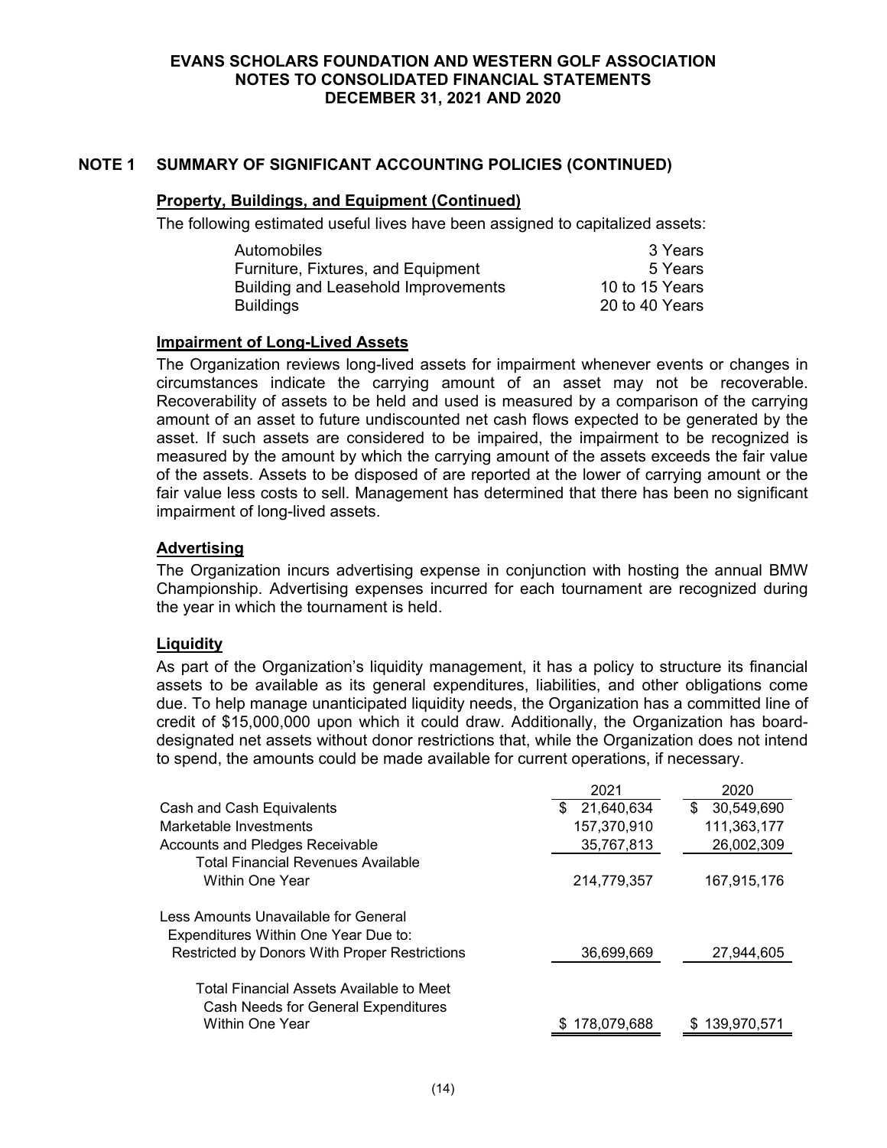# **NOTE 1 SUMMARY OF SIGNIFICANT ACCOUNTING POLICIES (CONTINUED)**

## **Property, Buildings, and Equipment (Continued)**

The following estimated useful lives have been assigned to capitalized assets:

| Automobiles                         | 3 Years        |
|-------------------------------------|----------------|
| Furniture, Fixtures, and Equipment  | 5 Years        |
| Building and Leasehold Improvements | 10 to 15 Years |
| <b>Buildings</b>                    | 20 to 40 Years |

## **Impairment of Long-Lived Assets**

The Organization reviews long-lived assets for impairment whenever events or changes in circumstances indicate the carrying amount of an asset may not be recoverable. Recoverability of assets to be held and used is measured by a comparison of the carrying amount of an asset to future undiscounted net cash flows expected to be generated by the asset. If such assets are considered to be impaired, the impairment to be recognized is measured by the amount by which the carrying amount of the assets exceeds the fair value of the assets. Assets to be disposed of are reported at the lower of carrying amount or the fair value less costs to sell. Management has determined that there has been no significant impairment of long-lived assets.

# **Advertising**

The Organization incurs advertising expense in conjunction with hosting the annual BMW Championship. Advertising expenses incurred for each tournament are recognized during the year in which the tournament is held.

# **Liquidity**

As part of the Organization's liquidity management, it has a policy to structure its financial assets to be available as its general expenditures, liabilities, and other obligations come due. To help manage unanticipated liquidity needs, the Organization has a committed line of credit of \$15,000,000 upon which it could draw. Additionally, the Organization has boarddesignated net assets without donor restrictions that, while the Organization does not intend to spend, the amounts could be made available for current operations, if necessary.

|                                                                                 | 2021              | 2020              |
|---------------------------------------------------------------------------------|-------------------|-------------------|
| Cash and Cash Equivalents                                                       | 21,640,634<br>\$  | 30,549,690<br>\$  |
| Marketable Investments                                                          | 157,370,910       | 111,363,177       |
| Accounts and Pledges Receivable                                                 | 35,767,813        | 26,002,309        |
| <b>Total Financial Revenues Available</b>                                       |                   |                   |
| Within One Year                                                                 | 214,779,357       | 167,915,176       |
| Less Amounts Unavailable for General<br>Expenditures Within One Year Due to:    |                   |                   |
| Restricted by Donors With Proper Restrictions                                   | 36,699,669        | 27.944.605        |
| Total Financial Assets Available to Meet<br>Cash Needs for General Expenditures |                   |                   |
| Within One Year                                                                 | 178,079,688<br>S. | 139,970,571<br>S. |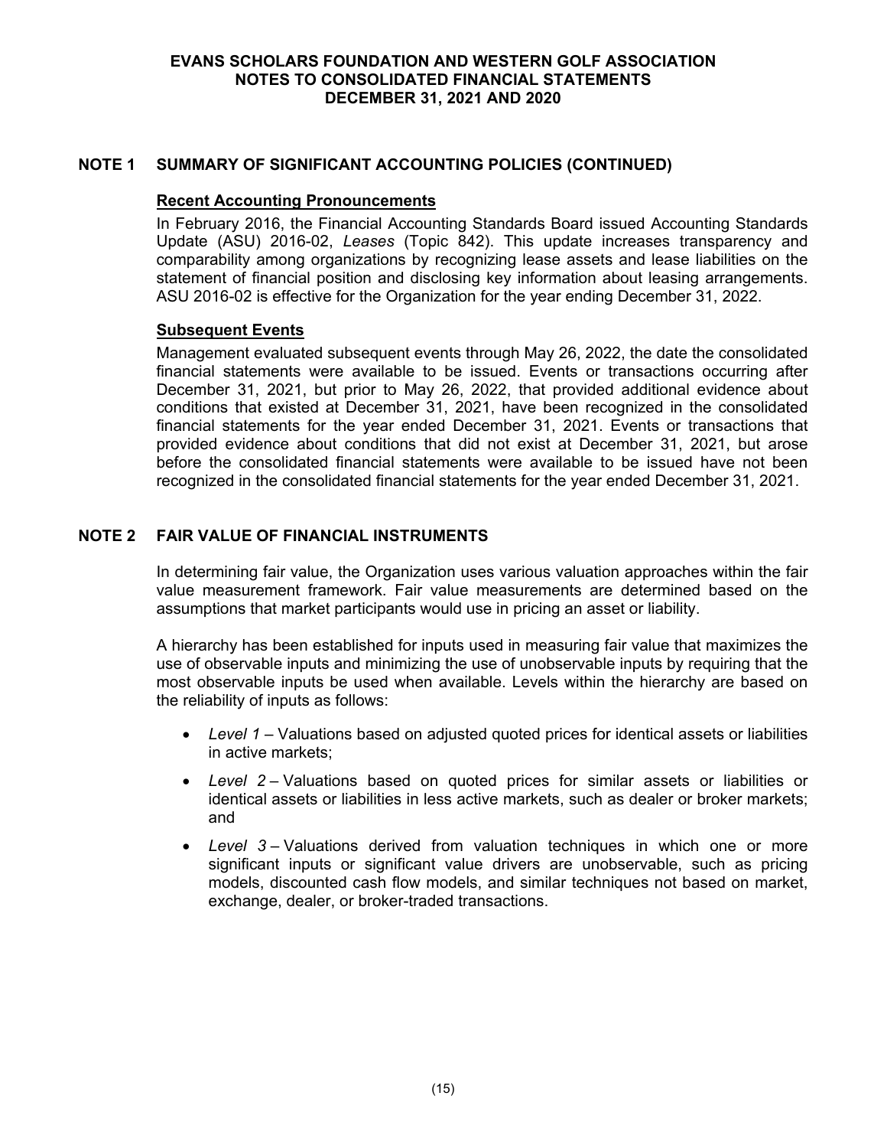# **NOTE 1 SUMMARY OF SIGNIFICANT ACCOUNTING POLICIES (CONTINUED)**

# **Recent Accounting Pronouncements**

In February 2016, the Financial Accounting Standards Board issued Accounting Standards Update (ASU) 2016-02, *Leases* (Topic 842). This update increases transparency and comparability among organizations by recognizing lease assets and lease liabilities on the statement of financial position and disclosing key information about leasing arrangements. ASU 2016-02 is effective for the Organization for the year ending December 31, 2022.

# **Subsequent Events**

Management evaluated subsequent events through May 26, 2022, the date the consolidated financial statements were available to be issued. Events or transactions occurring after December 31, 2021, but prior to May 26, 2022, that provided additional evidence about conditions that existed at December 31, 2021, have been recognized in the consolidated financial statements for the year ended December 31, 2021. Events or transactions that provided evidence about conditions that did not exist at December 31, 2021, but arose before the consolidated financial statements were available to be issued have not been recognized in the consolidated financial statements for the year ended December 31, 2021.

# **NOTE 2 FAIR VALUE OF FINANCIAL INSTRUMENTS**

In determining fair value, the Organization uses various valuation approaches within the fair value measurement framework. Fair value measurements are determined based on the assumptions that market participants would use in pricing an asset or liability.

A hierarchy has been established for inputs used in measuring fair value that maximizes the use of observable inputs and minimizing the use of unobservable inputs by requiring that the most observable inputs be used when available. Levels within the hierarchy are based on the reliability of inputs as follows:

- *Level 1* Valuations based on adjusted quoted prices for identical assets or liabilities in active markets;
- *Level 2* Valuations based on quoted prices for similar assets or liabilities or identical assets or liabilities in less active markets, such as dealer or broker markets; and
- *Level 3* Valuations derived from valuation techniques in which one or more significant inputs or significant value drivers are unobservable, such as pricing models, discounted cash flow models, and similar techniques not based on market, exchange, dealer, or broker-traded transactions.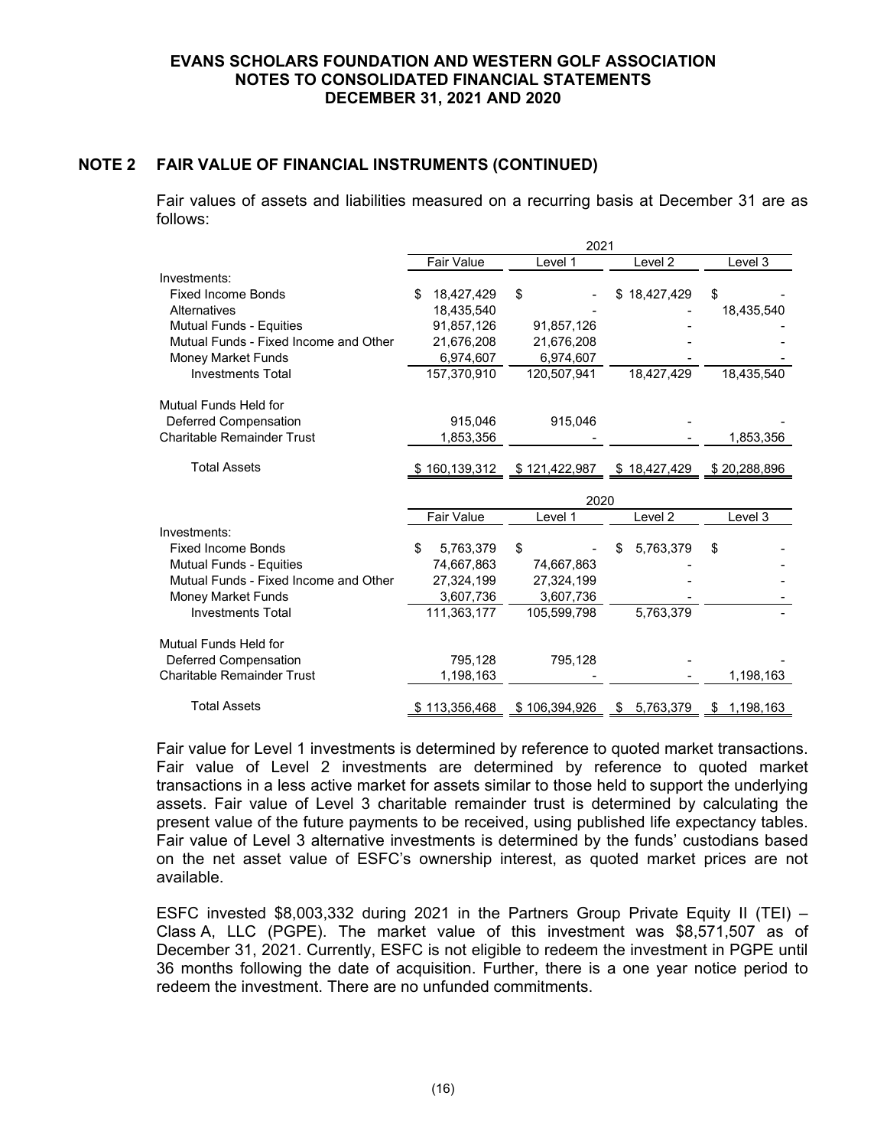# **NOTE 2 FAIR VALUE OF FINANCIAL INSTRUMENTS (CONTINUED)**

Fair values of assets and liabilities measured on a recurring basis at December 31 are as follows:

|                                       |                   | 2021          |                    |                 |
|---------------------------------------|-------------------|---------------|--------------------|-----------------|
|                                       | <b>Fair Value</b> | Level 1       | Level <sub>2</sub> | Level 3         |
| Investments:                          |                   |               |                    |                 |
| <b>Fixed Income Bonds</b>             | 18,427,429<br>S   | \$            | 18,427,429<br>\$   | \$              |
| Alternatives                          | 18,435,540        |               |                    | 18,435,540      |
| <b>Mutual Funds - Equities</b>        | 91,857,126        | 91,857,126    |                    |                 |
| Mutual Funds - Fixed Income and Other | 21,676,208        | 21,676,208    |                    |                 |
| <b>Money Market Funds</b>             | 6,974,607         | 6,974,607     |                    |                 |
| <b>Investments Total</b>              | 157,370,910       | 120,507,941   | 18,427,429         | 18,435,540      |
| Mutual Funds Held for                 |                   |               |                    |                 |
| Deferred Compensation                 | 915,046           | 915,046       |                    |                 |
| <b>Charitable Remainder Trust</b>     | 1,853,356         |               |                    | 1,853,356       |
| <b>Total Assets</b>                   | \$160,139,312     | \$121,422,987 | \$18,427,429       | \$20,288,896    |
|                                       |                   | 2020          |                    |                 |
|                                       | <b>Fair Value</b> | Level 1       | Level <sub>2</sub> | Level 3         |
| Investments:                          |                   |               |                    |                 |
| <b>Fixed Income Bonds</b>             | \$<br>5,763,379   | \$            | \$<br>5,763,379    | \$              |
| <b>Mutual Funds - Equities</b>        | 74,667,863        | 74,667,863    |                    |                 |
| Mutual Funds - Fixed Income and Other | 27,324,199        | 27,324,199    |                    |                 |
| <b>Money Market Funds</b>             | 3,607,736         | 3,607,736     |                    |                 |
| <b>Investments Total</b>              | 111,363,177       | 105,599,798   | 5,763,379          |                 |
| Mutual Funds Held for                 |                   |               |                    |                 |
| Deferred Compensation                 | 795,128           | 795,128       |                    |                 |
| <b>Charitable Remainder Trust</b>     | 1,198,163         |               |                    | 1,198,163       |
| <b>Total Assets</b>                   | \$113,356,468     | \$106,394,926 | 5,763,379<br>\$    | 1,198,163<br>\$ |

Fair value for Level 1 investments is determined by reference to quoted market transactions. Fair value of Level 2 investments are determined by reference to quoted market transactions in a less active market for assets similar to those held to support the underlying assets. Fair value of Level 3 charitable remainder trust is determined by calculating the present value of the future payments to be received, using published life expectancy tables. Fair value of Level 3 alternative investments is determined by the funds' custodians based on the net asset value of ESFC's ownership interest, as quoted market prices are not available.

ESFC invested \$8,003,332 during 2021 in the Partners Group Private Equity II (TEI) – Class A, LLC (PGPE). The market value of this investment was \$8,571,507 as of December 31, 2021. Currently, ESFC is not eligible to redeem the investment in PGPE until 36 months following the date of acquisition. Further, there is a one year notice period to redeem the investment. There are no unfunded commitments.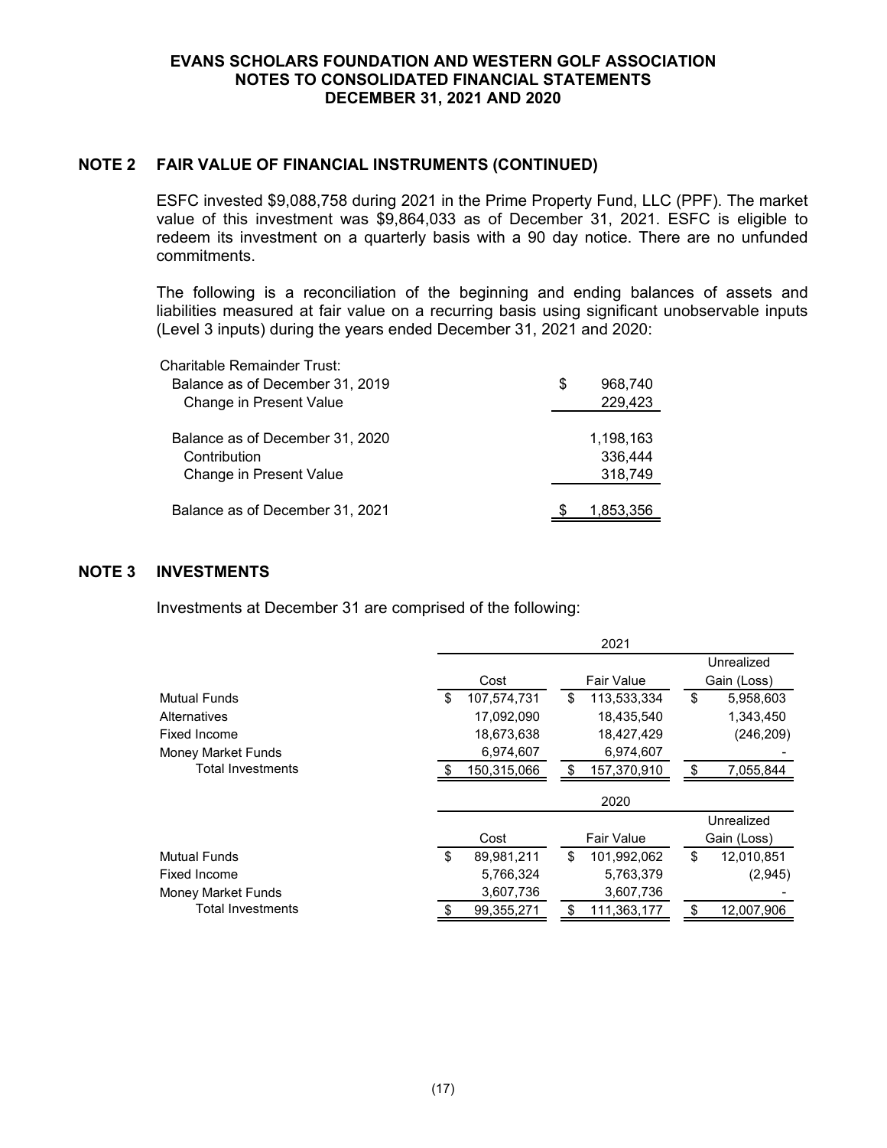## **NOTE 2 FAIR VALUE OF FINANCIAL INSTRUMENTS (CONTINUED)**

ESFC invested \$9,088,758 during 2021 in the Prime Property Fund, LLC (PPF). The market value of this investment was \$9,864,033 as of December 31, 2021. ESFC is eligible to redeem its investment on a quarterly basis with a 90 day notice. There are no unfunded commitments.

The following is a reconciliation of the beginning and ending balances of assets and liabilities measured at fair value on a recurring basis using significant unobservable inputs (Level 3 inputs) during the years ended December 31, 2021 and 2020:

| Charitable Remainder Trust:<br>Balance as of December 31, 2019<br>Change in Present Value | \$<br>968.740<br>229,423        |
|-------------------------------------------------------------------------------------------|---------------------------------|
| Balance as of December 31, 2020<br>Contribution<br>Change in Present Value                | 1,198,163<br>336,444<br>318,749 |
| Balance as of December 31, 2021                                                           | 1,853,356                       |

### **NOTE 3 INVESTMENTS**

Investments at December 31 are comprised of the following:

|                          | 2021 |             |    |                   |    |             |  |
|--------------------------|------|-------------|----|-------------------|----|-------------|--|
|                          |      |             |    |                   |    | Unrealized  |  |
|                          |      | Cost        |    | Fair Value        |    | Gain (Loss) |  |
| <b>Mutual Funds</b>      | \$   | 107,574,731 | \$ | 113,533,334       | \$ | 5,958,603   |  |
| Alternatives             |      | 17,092,090  |    | 18,435,540        |    | 1,343,450   |  |
| Fixed Income             |      | 18,673,638  |    | 18,427,429        |    | (246, 209)  |  |
| Money Market Funds       |      | 6,974,607   |    | 6,974,607         |    |             |  |
| <b>Total Investments</b> |      | 150,315,066 | S  | 157,370,910       | S  | 7,055,844   |  |
|                          |      |             |    |                   |    |             |  |
|                          |      |             |    | 2020              |    |             |  |
|                          |      |             |    |                   |    | Unrealized  |  |
|                          |      | Cost        |    | <b>Fair Value</b> |    | Gain (Loss) |  |
| <b>Mutual Funds</b>      | \$   | 89,981,211  | \$ | 101,992,062       | \$ | 12,010,851  |  |
| Fixed Income             |      | 5,766,324   |    | 5,763,379         |    | (2,945)     |  |
| Money Market Funds       |      | 3,607,736   |    | 3,607,736         |    |             |  |
| Total Investments        | \$   | 99,355,271  | \$ | 111,363,177       | \$ | 12,007,906  |  |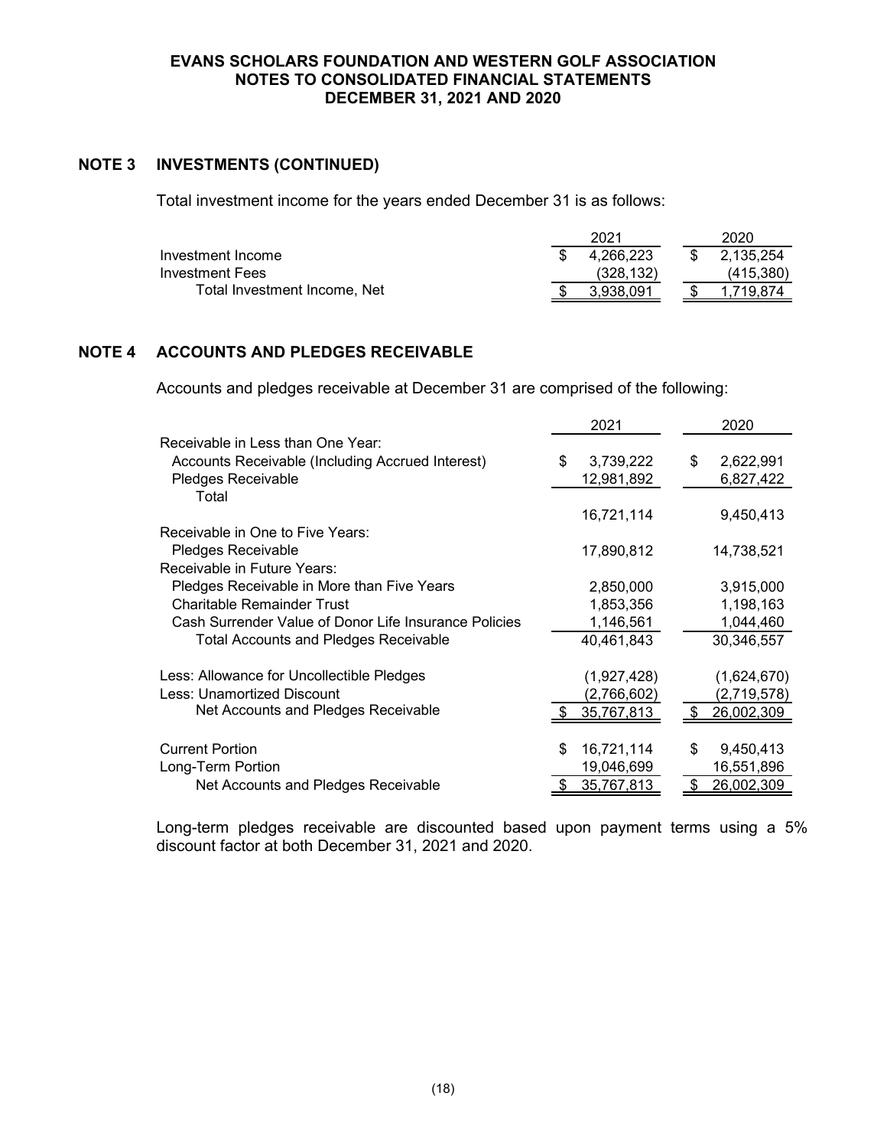# **NOTE 3 INVESTMENTS (CONTINUED)**

Total investment income for the years ended December 31 is as follows:

|                              | 2021       | 2020      |
|------------------------------|------------|-----------|
| Investment Income            | 4.266.223  | 2.135.254 |
| Investment Fees              | (328, 132) | (415.380) |
| Total Investment Income, Net | 3.938.091  | 1.719.874 |

# **NOTE 4 ACCOUNTS AND PLEDGES RECEIVABLE**

Accounts and pledges receivable at December 31 are comprised of the following:

|                                                       | 2021             |     | 2020        |
|-------------------------------------------------------|------------------|-----|-------------|
| Receivable in Less than One Year:                     |                  |     |             |
| Accounts Receivable (Including Accrued Interest)      | \$<br>3,739,222  | \$  | 2,622,991   |
| Pledges Receivable                                    | 12,981,892       |     | 6,827,422   |
| Total                                                 |                  |     |             |
|                                                       | 16,721,114       |     | 9,450,413   |
| Receivable in One to Five Years:                      |                  |     |             |
| Pledges Receivable                                    | 17,890,812       |     | 14,738,521  |
| Receivable in Future Years:                           |                  |     |             |
| Pledges Receivable in More than Five Years            | 2,850,000        |     | 3,915,000   |
| Charitable Remainder Trust                            | 1,853,356        |     | 1,198,163   |
| Cash Surrender Value of Donor Life Insurance Policies | 1,146,561        |     | 1,044,460   |
| <b>Total Accounts and Pledges Receivable</b>          | 40,461,843       |     | 30,346,557  |
| Less: Allowance for Uncollectible Pledges             | (1,927,428)      |     | (1,624,670) |
| Less: Unamortized Discount                            | (2,766,602)      |     | (2,719,578) |
| Net Accounts and Pledges Receivable                   | 35,767,813       | -SS | 26,002,309  |
|                                                       |                  |     |             |
| <b>Current Portion</b>                                | \$<br>16,721,114 | \$  | 9,450,413   |
| Long-Term Portion                                     | 19,046,699       |     | 16,551,896  |
| Net Accounts and Pledges Receivable                   | 35,767,813       |     | 26,002,309  |

Long-term pledges receivable are discounted based upon payment terms using a 5% discount factor at both December 31, 2021 and 2020.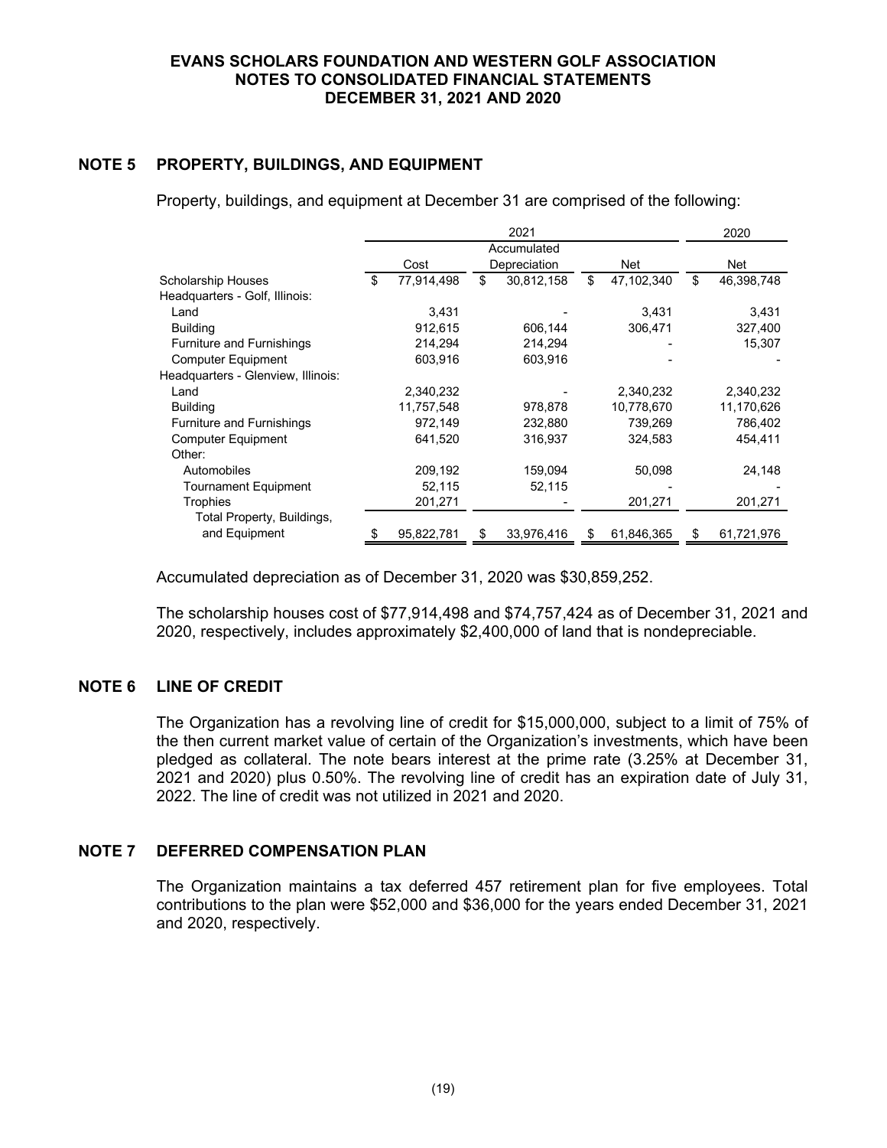# **NOTE 5 PROPERTY, BUILDINGS, AND EQUIPMENT**

Property, buildings, and equipment at December 31 are comprised of the following:

|                                    | 2021 |            |    |              |    |            |    | 2020       |
|------------------------------------|------|------------|----|--------------|----|------------|----|------------|
|                                    |      |            |    | Accumulated  |    |            |    |            |
|                                    |      | Cost       |    | Depreciation |    | Net        |    | Net        |
| Scholarship Houses                 | \$   | 77,914,498 | \$ | 30,812,158   | \$ | 47,102,340 | \$ | 46,398,748 |
| Headquarters - Golf, Illinois:     |      |            |    |              |    |            |    |            |
| Land                               |      | 3,431      |    |              |    | 3,431      |    | 3,431      |
| <b>Building</b>                    |      | 912,615    |    | 606,144      |    | 306,471    |    | 327,400    |
| <b>Furniture and Furnishings</b>   |      | 214,294    |    | 214,294      |    |            |    | 15,307     |
| <b>Computer Equipment</b>          |      | 603,916    |    | 603,916      |    |            |    |            |
| Headquarters - Glenview, Illinois: |      |            |    |              |    |            |    |            |
| Land                               |      | 2,340,232  |    |              |    | 2,340,232  |    | 2,340,232  |
| <b>Building</b>                    |      | 11,757,548 |    | 978,878      |    | 10,778,670 |    | 11,170,626 |
| <b>Furniture and Furnishings</b>   |      | 972,149    |    | 232,880      |    | 739,269    |    | 786,402    |
| <b>Computer Equipment</b>          |      | 641,520    |    | 316,937      |    | 324,583    |    | 454,411    |
| Other:                             |      |            |    |              |    |            |    |            |
| Automobiles                        |      | 209,192    |    | 159,094      |    | 50,098     |    | 24,148     |
| <b>Tournament Equipment</b>        |      | 52,115     |    | 52,115       |    |            |    |            |
| Trophies                           |      | 201,271    |    |              |    | 201,271    |    | 201,271    |
| Total Property, Buildings,         |      |            |    |              |    |            |    |            |
| and Equipment                      |      | 95,822,781 | \$ | 33,976,416   | S  | 61,846,365 | S  | 61,721,976 |

Accumulated depreciation as of December 31, 2020 was \$30,859,252.

The scholarship houses cost of \$77,914,498 and \$74,757,424 as of December 31, 2021 and 2020, respectively, includes approximately \$2,400,000 of land that is nondepreciable.

# **NOTE 6 LINE OF CREDIT**

The Organization has a revolving line of credit for \$15,000,000, subject to a limit of 75% of the then current market value of certain of the Organization's investments, which have been pledged as collateral. The note bears interest at the prime rate (3.25% at December 31, 2021 and 2020) plus 0.50%. The revolving line of credit has an expiration date of July 31, 2022. The line of credit was not utilized in 2021 and 2020.

# **NOTE 7 DEFERRED COMPENSATION PLAN**

The Organization maintains a tax deferred 457 retirement plan for five employees. Total contributions to the plan were \$52,000 and \$36,000 for the years ended December 31, 2021 and 2020, respectively.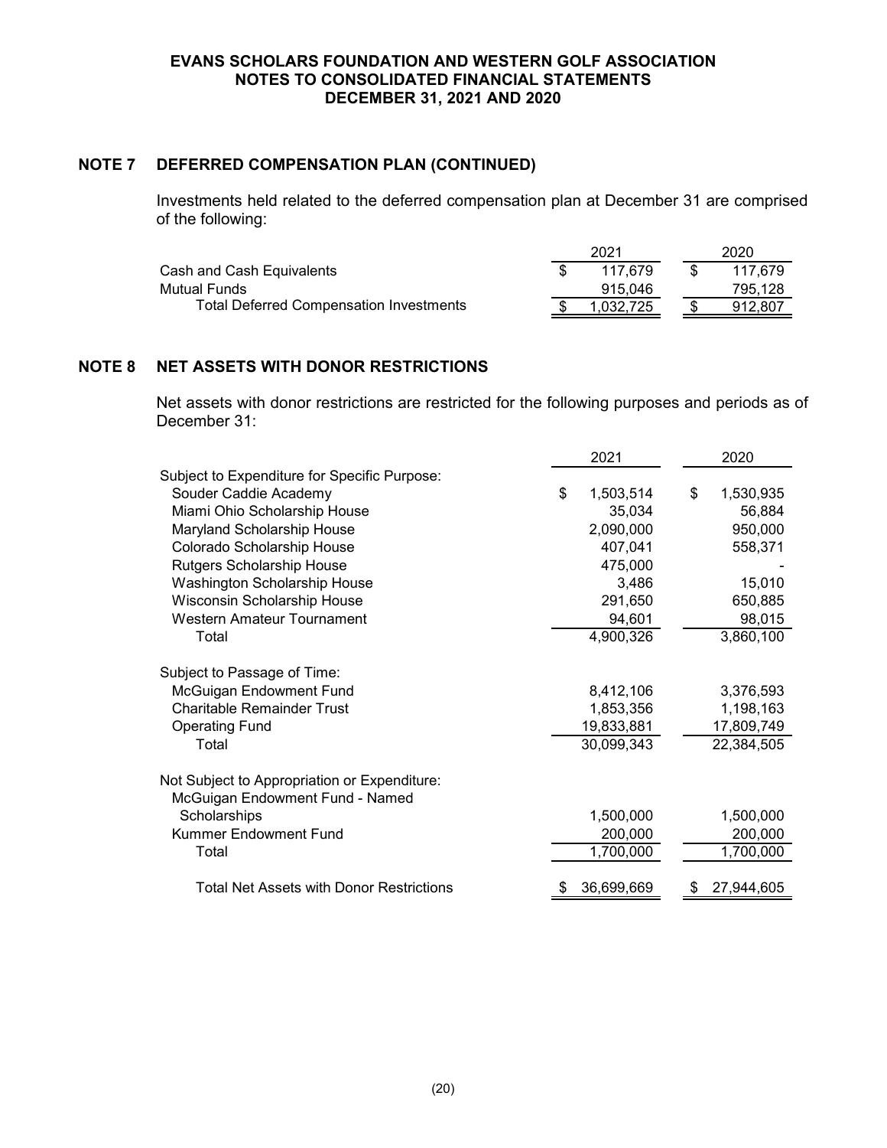# **NOTE 7 DEFERRED COMPENSATION PLAN (CONTINUED)**

Investments held related to the deferred compensation plan at December 31 are comprised of the following:

|                                                | 2021      | 2020    |
|------------------------------------------------|-----------|---------|
| Cash and Cash Equivalents                      | 117.679   | 117.679 |
| Mutual Funds                                   | 915.046   | 795.128 |
| <b>Total Deferred Compensation Investments</b> | 1.032,725 | 912.807 |

# **NOTE 8 NET ASSETS WITH DONOR RESTRICTIONS**

Net assets with donor restrictions are restricted for the following purposes and periods as of December 31:

|                                                                                 | 2021            | 2020             |
|---------------------------------------------------------------------------------|-----------------|------------------|
| Subject to Expenditure for Specific Purpose:                                    |                 |                  |
| Souder Caddie Academy                                                           | \$<br>1,503,514 | \$<br>1,530,935  |
| Miami Ohio Scholarship House                                                    | 35,034          | 56,884           |
| Maryland Scholarship House                                                      | 2,090,000       | 950,000          |
| Colorado Scholarship House                                                      | 407,041         | 558,371          |
| <b>Rutgers Scholarship House</b>                                                | 475,000         |                  |
| <b>Washington Scholarship House</b>                                             | 3,486           | 15,010           |
| Wisconsin Scholarship House                                                     | 291,650         | 650,885          |
| <b>Western Amateur Tournament</b>                                               | 94,601          | 98,015           |
| Total                                                                           | 4,900,326       | 3,860,100        |
| Subject to Passage of Time:                                                     |                 |                  |
| McGuigan Endowment Fund                                                         | 8,412,106       | 3,376,593        |
| <b>Charitable Remainder Trust</b>                                               | 1,853,356       | 1,198,163        |
| <b>Operating Fund</b>                                                           | 19,833,881      | 17,809,749       |
| Total                                                                           | 30,099,343      | 22,384,505       |
| Not Subject to Appropriation or Expenditure:<br>McGuigan Endowment Fund - Named |                 |                  |
| Scholarships                                                                    | 1,500,000       | 1,500,000        |
| Kummer Endowment Fund                                                           | 200,000         | 200,000          |
| Total                                                                           | 1,700,000       | 1,700,000        |
| <b>Total Net Assets with Donor Restrictions</b>                                 | 36,699,669      | \$<br>27,944,605 |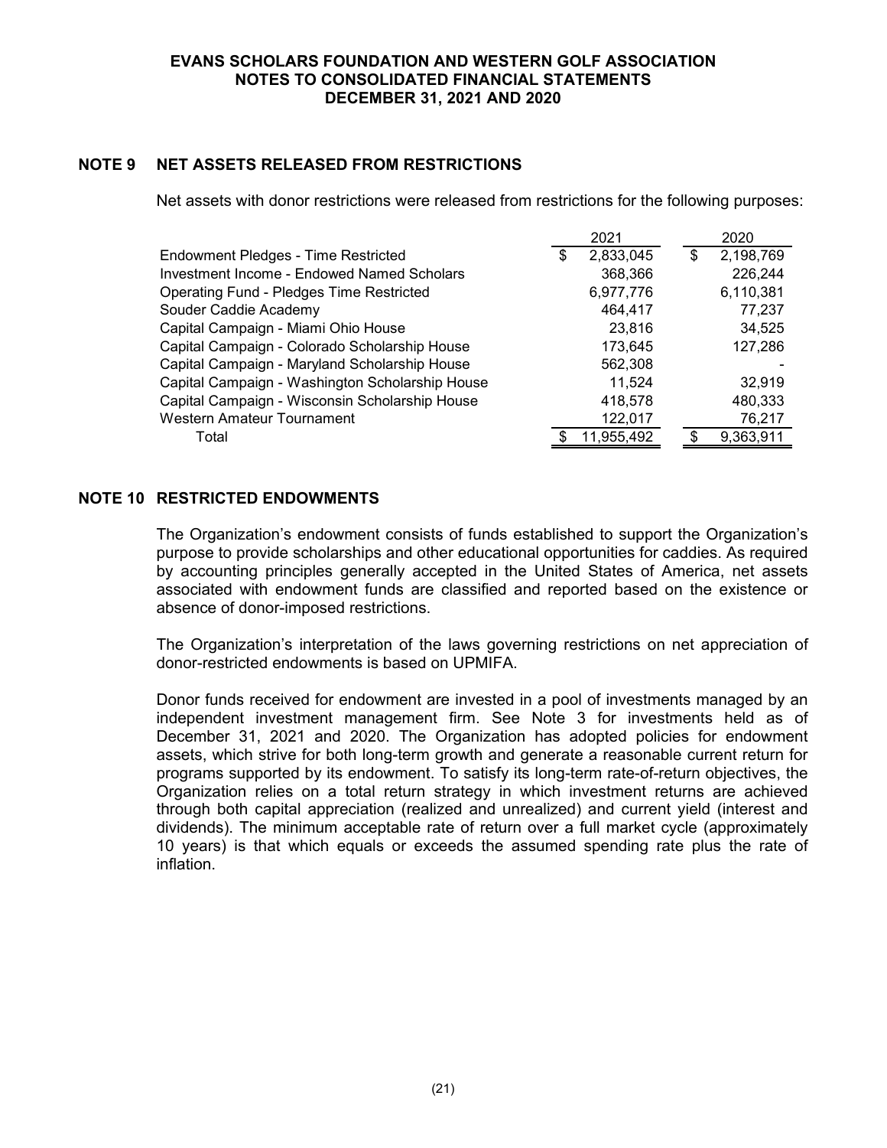# **NOTE 9 NET ASSETS RELEASED FROM RESTRICTIONS**

Net assets with donor restrictions were released from restrictions for the following purposes:

|                                                   |   | 2021       |   | 2020      |
|---------------------------------------------------|---|------------|---|-----------|
| <b>Endowment Pledges - Time Restricted</b>        | S | 2,833,045  | S | 2,198,769 |
| <b>Investment Income - Endowed Named Scholars</b> |   | 368,366    |   | 226,244   |
| Operating Fund - Pledges Time Restricted          |   | 6,977,776  |   | 6,110,381 |
| Souder Caddie Academy                             |   | 464,417    |   | 77.237    |
| Capital Campaign - Miami Ohio House               |   | 23.816     |   | 34.525    |
| Capital Campaign - Colorado Scholarship House     |   | 173.645    |   | 127,286   |
| Capital Campaign - Maryland Scholarship House     |   | 562,308    |   |           |
| Capital Campaign - Washington Scholarship House   |   | 11.524     |   | 32,919    |
| Capital Campaign - Wisconsin Scholarship House    |   | 418,578    |   | 480,333   |
| Western Amateur Tournament                        |   | 122,017    |   | 76,217    |
| Total                                             |   | 11,955,492 |   | 9,363,911 |
|                                                   |   |            |   |           |

## **NOTE 10 RESTRICTED ENDOWMENTS**

The Organization's endowment consists of funds established to support the Organization's purpose to provide scholarships and other educational opportunities for caddies. As required by accounting principles generally accepted in the United States of America, net assets associated with endowment funds are classified and reported based on the existence or absence of donor-imposed restrictions.

The Organization's interpretation of the laws governing restrictions on net appreciation of donor-restricted endowments is based on UPMIFA.

Donor funds received for endowment are invested in a pool of investments managed by an independent investment management firm. See Note 3 for investments held as of December 31, 2021 and 2020. The Organization has adopted policies for endowment assets, which strive for both long-term growth and generate a reasonable current return for programs supported by its endowment. To satisfy its long-term rate-of-return objectives, the Organization relies on a total return strategy in which investment returns are achieved through both capital appreciation (realized and unrealized) and current yield (interest and dividends). The minimum acceptable rate of return over a full market cycle (approximately 10 years) is that which equals or exceeds the assumed spending rate plus the rate of inflation.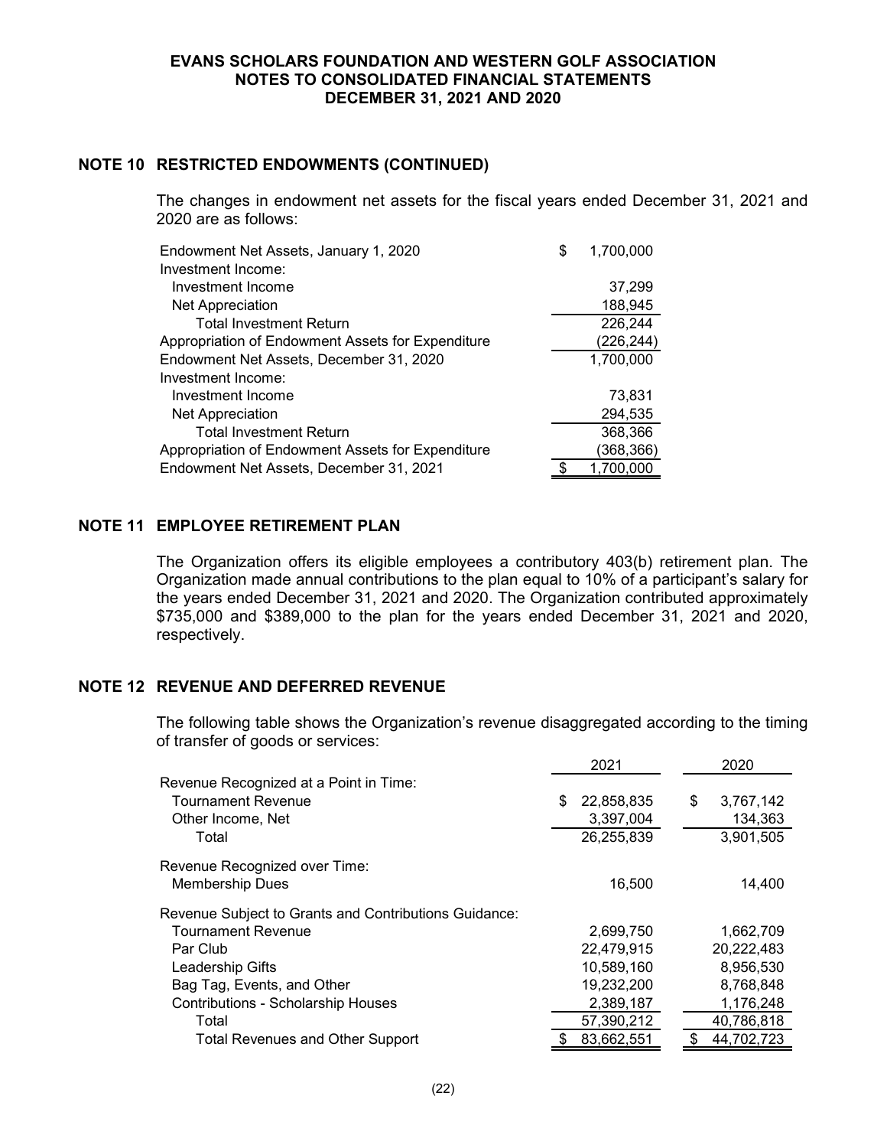## **NOTE 10 RESTRICTED ENDOWMENTS (CONTINUED)**

The changes in endowment net assets for the fiscal years ended December 31, 2021 and 2020 are as follows:

| Endowment Net Assets, January 1, 2020             | \$<br>1,700,000 |
|---------------------------------------------------|-----------------|
| Investment Income:                                |                 |
| Investment Income                                 | 37,299          |
| <b>Net Appreciation</b>                           | 188,945         |
| <b>Total Investment Return</b>                    | 226,244         |
| Appropriation of Endowment Assets for Expenditure | (226,244)       |
| Endowment Net Assets, December 31, 2020           | 1,700,000       |
| Investment Income:                                |                 |
| Investment Income                                 | 73,831          |
| <b>Net Appreciation</b>                           | 294,535         |
| <b>Total Investment Return</b>                    | 368,366         |
| Appropriation of Endowment Assets for Expenditure | (368,366)       |
| Endowment Net Assets, December 31, 2021           | 1,700,000       |

# **NOTE 11 EMPLOYEE RETIREMENT PLAN**

The Organization offers its eligible employees a contributory 403(b) retirement plan. The Organization made annual contributions to the plan equal to 10% of a participant's salary for the years ended December 31, 2021 and 2020. The Organization contributed approximately \$735,000 and \$389,000 to the plan for the years ended December 31, 2021 and 2020, respectively.

# **NOTE 12 REVENUE AND DEFERRED REVENUE**

The following table shows the Organization's revenue disaggregated according to the timing of transfer of goods or services:

|                                                                                          | 2021                          | 2020                        |
|------------------------------------------------------------------------------------------|-------------------------------|-----------------------------|
| Revenue Recognized at a Point in Time:<br><b>Tournament Revenue</b><br>Other Income, Net | \$<br>22,858,835<br>3.397.004 | 3,767,142<br>\$.<br>134,363 |
| Total                                                                                    | 26,255,839                    | 3,901,505                   |
| Revenue Recognized over Time:<br><b>Membership Dues</b>                                  | 16.500                        | 14.400                      |
| Revenue Subject to Grants and Contributions Guidance:                                    |                               |                             |
| <b>Tournament Revenue</b>                                                                | 2,699,750                     | 1,662,709                   |
| Par Club                                                                                 | 22,479,915                    | 20,222,483                  |
| Leadership Gifts                                                                         | 10,589,160                    | 8,956,530                   |
| Bag Tag, Events, and Other                                                               | 19,232,200                    | 8,768,848                   |
| <b>Contributions - Scholarship Houses</b>                                                | 2,389,187                     | 1,176,248                   |
| Total                                                                                    | 57,390,212                    | 40,786,818                  |
| <b>Total Revenues and Other Support</b>                                                  | 83,662,551                    | 44,702,723                  |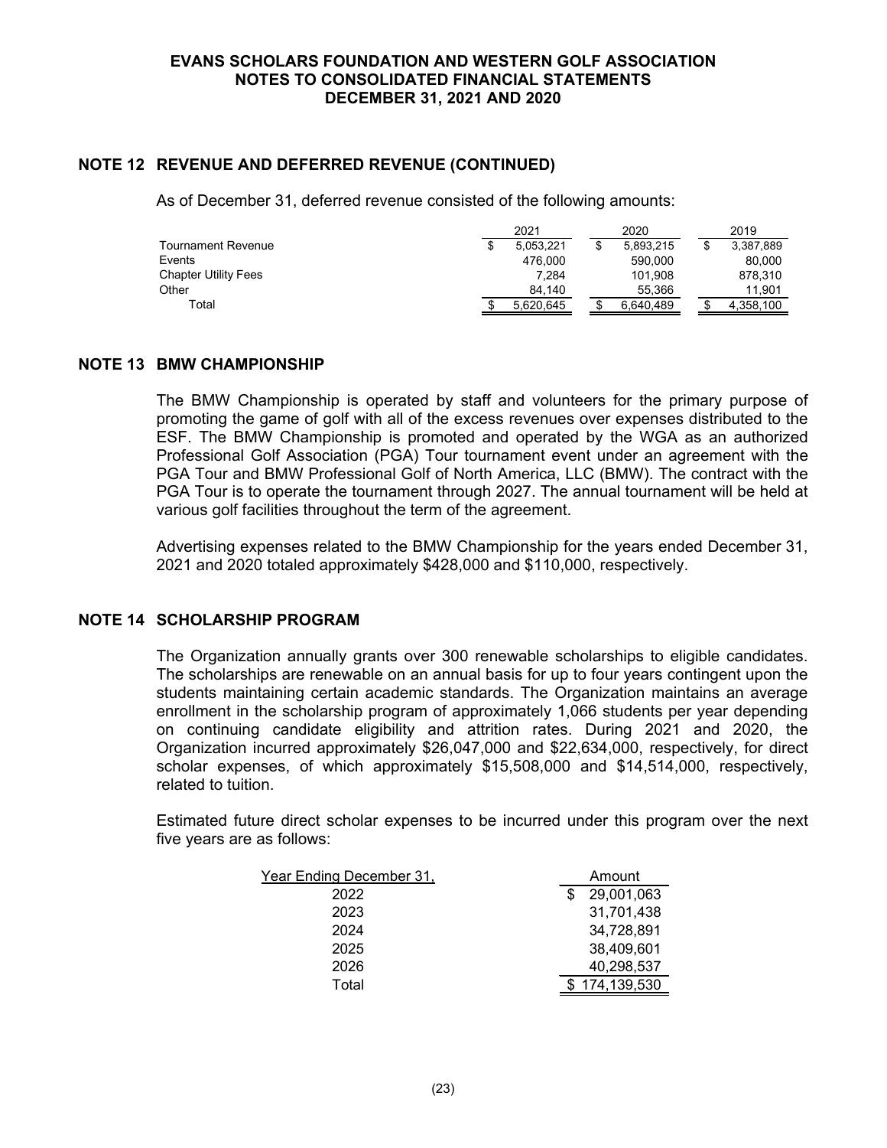# **NOTE 12 REVENUE AND DEFERRED REVENUE (CONTINUED)**

As of December 31, deferred revenue consisted of the following amounts:

|                             | 2021 |           | 2020            |  |  | 2019      |  |  |
|-----------------------------|------|-----------|-----------------|--|--|-----------|--|--|
| Tournament Revenue          |      | 5.053.221 | \$<br>5,893,215 |  |  | 3,387,889 |  |  |
| Events                      |      | 476.000   | 590,000         |  |  | 80,000    |  |  |
| <b>Chapter Utility Fees</b> |      | 7.284     | 101.908         |  |  | 878.310   |  |  |
| Other                       |      | 84.140    | 55.366          |  |  | 11.901    |  |  |
| Total                       |      | 5.620.645 | 6,640,489       |  |  | 4,358,100 |  |  |

## **NOTE 13 BMW CHAMPIONSHIP**

The BMW Championship is operated by staff and volunteers for the primary purpose of promoting the game of golf with all of the excess revenues over expenses distributed to the ESF. The BMW Championship is promoted and operated by the WGA as an authorized Professional Golf Association (PGA) Tour tournament event under an agreement with the PGA Tour and BMW Professional Golf of North America, LLC (BMW). The contract with the PGA Tour is to operate the tournament through 2027. The annual tournament will be held at various golf facilities throughout the term of the agreement.

Advertising expenses related to the BMW Championship for the years ended December 31, 2021 and 2020 totaled approximately \$428,000 and \$110,000, respectively.

## **NOTE 14 SCHOLARSHIP PROGRAM**

The Organization annually grants over 300 renewable scholarships to eligible candidates. The scholarships are renewable on an annual basis for up to four years contingent upon the students maintaining certain academic standards. The Organization maintains an average enrollment in the scholarship program of approximately 1,066 students per year depending on continuing candidate eligibility and attrition rates. During 2021 and 2020, the Organization incurred approximately \$26,047,000 and \$22,634,000, respectively, for direct scholar expenses, of which approximately \$15,508,000 and \$14,514,000, respectively, related to tuition.

Estimated future direct scholar expenses to be incurred under this program over the next five years are as follows:

| Year Ending December 31, | Amount           |
|--------------------------|------------------|
| 2022                     | 29,001,063<br>\$ |
| 2023                     | 31,701,438       |
| 2024                     | 34,728,891       |
| 2025                     | 38,409,601       |
| 2026                     | 40,298,537       |
| Total                    | \$174,139,530    |
|                          |                  |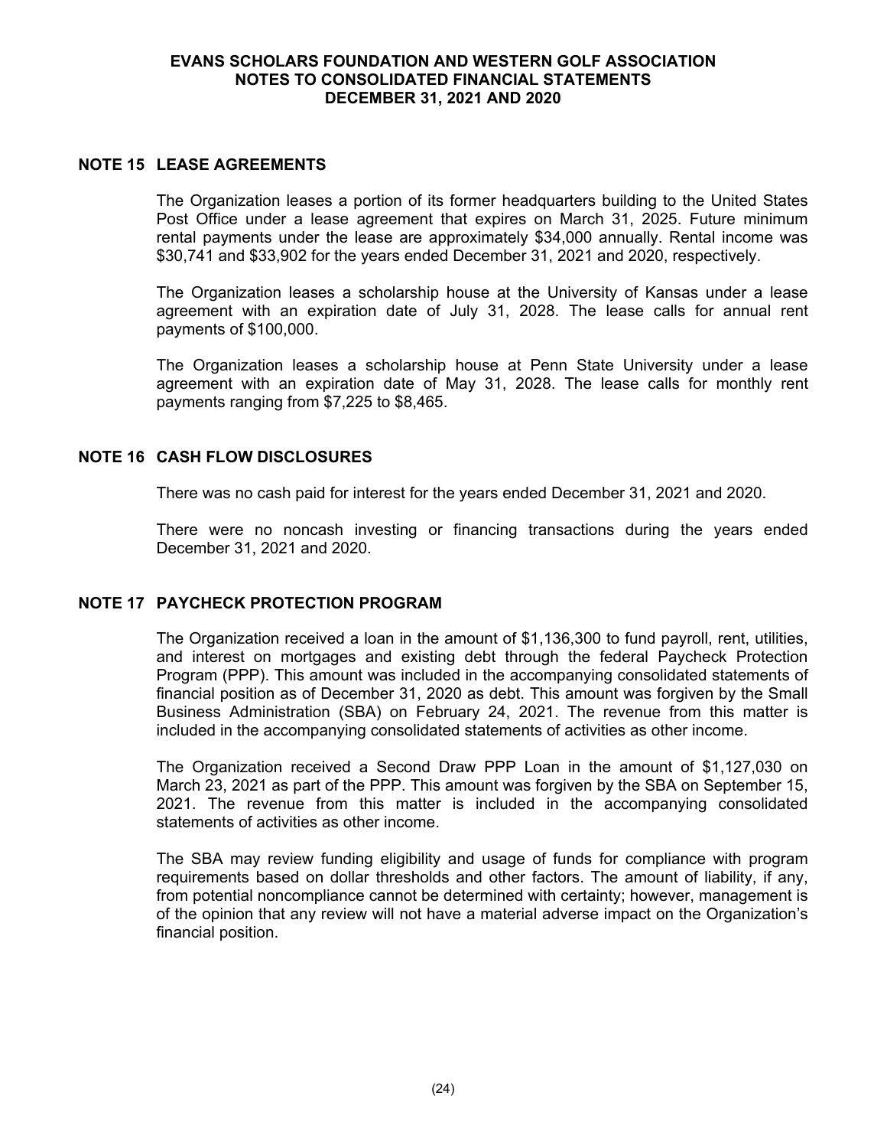## **NOTE 15 LEASE AGREEMENTS**

The Organization leases a portion of its former headquarters building to the United States Post Office under a lease agreement that expires on March 31, 2025. Future minimum rental payments under the lease are approximately \$34,000 annually. Rental income was \$30,741 and \$33,902 for the years ended December 31, 2021 and 2020, respectively.

The Organization leases a scholarship house at the University of Kansas under a lease agreement with an expiration date of July 31, 2028. The lease calls for annual rent payments of \$100,000.

The Organization leases a scholarship house at Penn State University under a lease agreement with an expiration date of May 31, 2028. The lease calls for monthly rent payments ranging from \$7,225 to \$8,465.

# **NOTE 16 CASH FLOW DISCLOSURES**

There was no cash paid for interest for the years ended December 31, 2021 and 2020.

There were no noncash investing or financing transactions during the years ended December 31, 2021 and 2020.

# **NOTE 17 PAYCHECK PROTECTION PROGRAM**

The Organization received a loan in the amount of \$1,136,300 to fund payroll, rent, utilities, and interest on mortgages and existing debt through the federal Paycheck Protection Program (PPP). This amount was included in the accompanying consolidated statements of financial position as of December 31, 2020 as debt. This amount was forgiven by the Small Business Administration (SBA) on February 24, 2021. The revenue from this matter is included in the accompanying consolidated statements of activities as other income.

The Organization received a Second Draw PPP Loan in the amount of \$1,127,030 on March 23, 2021 as part of the PPP. This amount was forgiven by the SBA on September 15, 2021. The revenue from this matter is included in the accompanying consolidated statements of activities as other income.

The SBA may review funding eligibility and usage of funds for compliance with program requirements based on dollar thresholds and other factors. The amount of liability, if any, from potential noncompliance cannot be determined with certainty; however, management is of the opinion that any review will not have a material adverse impact on the Organization's financial position.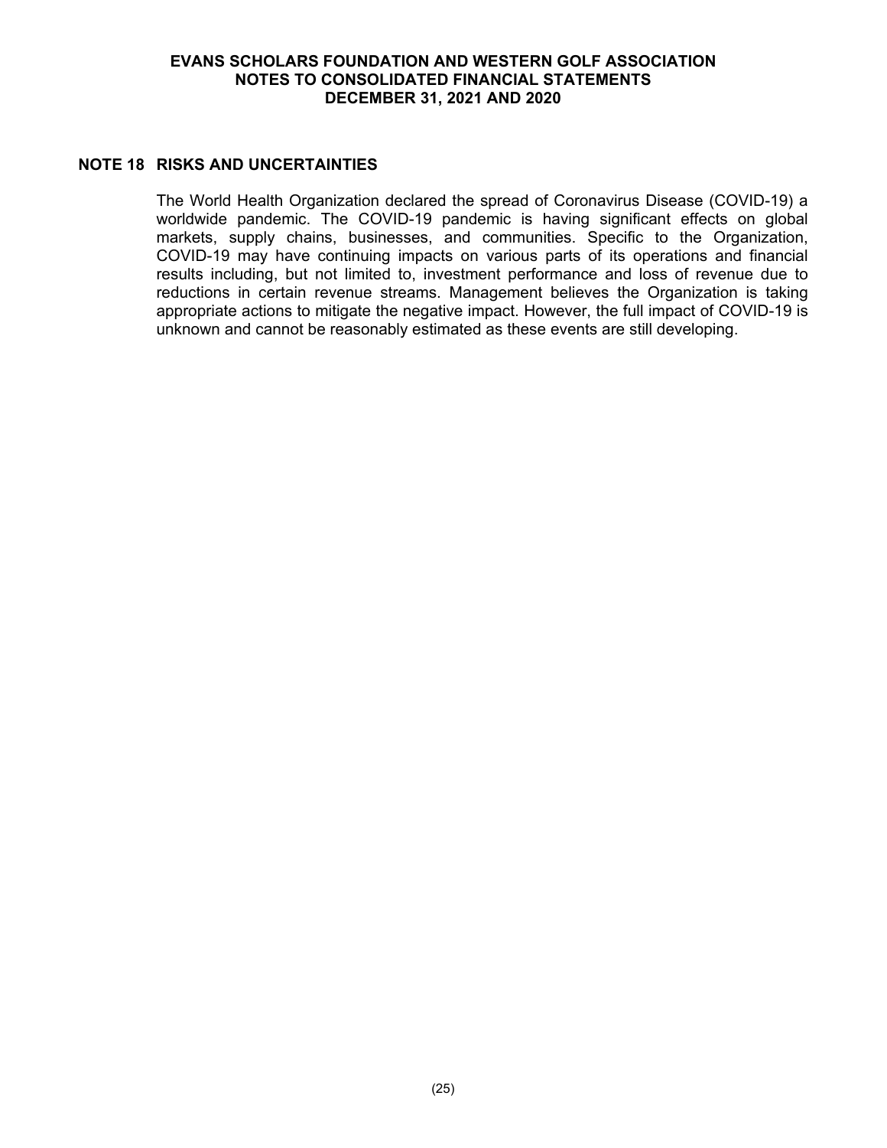## **NOTE 18 RISKS AND UNCERTAINTIES**

The World Health Organization declared the spread of Coronavirus Disease (COVID-19) a worldwide pandemic. The COVID-19 pandemic is having significant effects on global markets, supply chains, businesses, and communities. Specific to the Organization, COVID-19 may have continuing impacts on various parts of its operations and financial results including, but not limited to, investment performance and loss of revenue due to reductions in certain revenue streams. Management believes the Organization is taking appropriate actions to mitigate the negative impact. However, the full impact of COVID-19 is unknown and cannot be reasonably estimated as these events are still developing.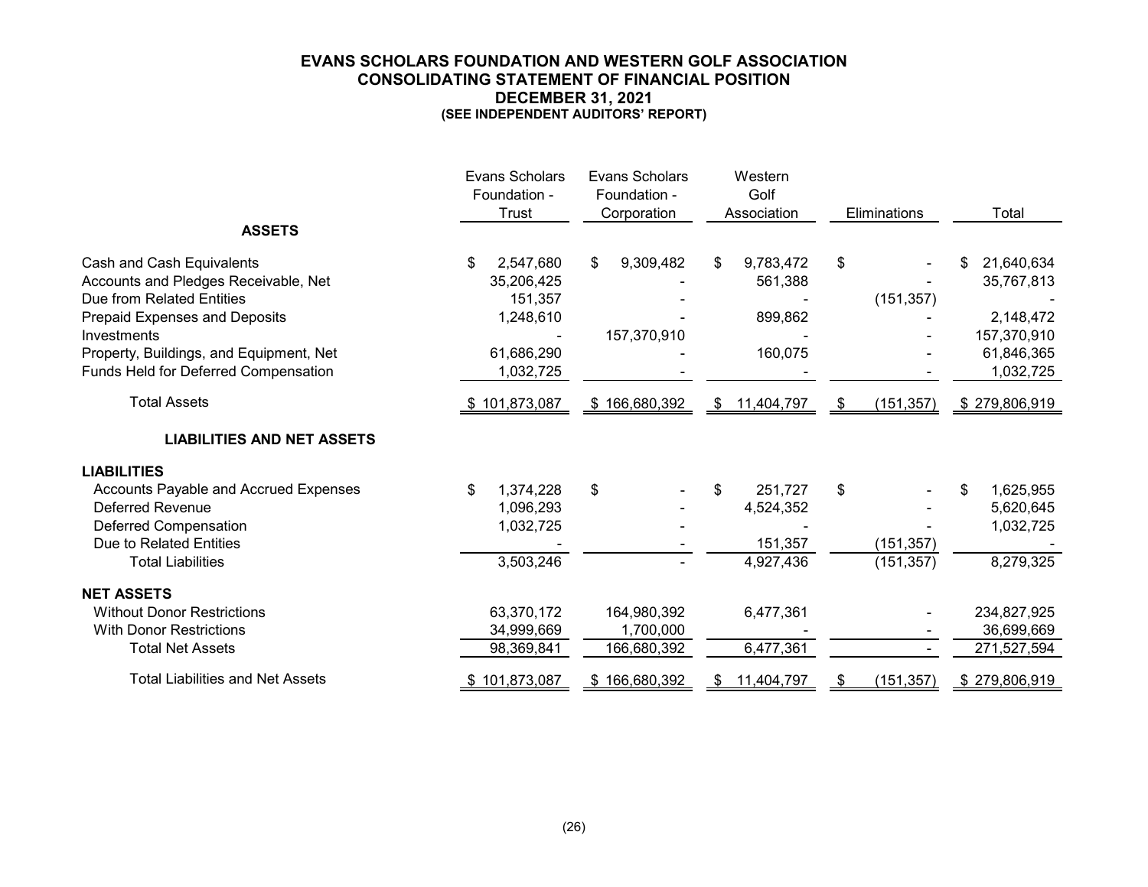#### **EVANS SCHOLARS FOUNDATION AND WESTERN GOLF ASSOCIATION CONSOLIDATING STATEMENT OF FINANCIAL POSITION DECEMBER 31, 2021 (SEE INDEPENDENT AUDITORS' REPORT)**

|                                         | <b>Evans Scholars</b><br>Foundation -<br>Trust | <b>Evans Scholars</b><br>Foundation -<br>Corporation | Western<br>Golf<br>Association | Eliminations       | Total           |
|-----------------------------------------|------------------------------------------------|------------------------------------------------------|--------------------------------|--------------------|-----------------|
| <b>ASSETS</b>                           |                                                |                                                      |                                |                    |                 |
| Cash and Cash Equivalents               | 2,547,680<br>£.                                | 9,309,482<br>\$                                      | 9,783,472<br>\$                | \$                 | 21,640,634      |
| Accounts and Pledges Receivable, Net    | 35,206,425                                     |                                                      | 561,388                        |                    | 35,767,813      |
| Due from Related Entities               | 151,357                                        |                                                      |                                | (151, 357)         |                 |
| Prepaid Expenses and Deposits           | 1,248,610                                      |                                                      | 899,862                        |                    | 2,148,472       |
| Investments                             |                                                | 157,370,910                                          |                                |                    | 157,370,910     |
| Property, Buildings, and Equipment, Net | 61,686,290                                     |                                                      | 160,075                        |                    | 61,846,365      |
| Funds Held for Deferred Compensation    | 1,032,725                                      |                                                      |                                |                    | 1,032,725       |
| <b>Total Assets</b>                     | \$101,873,087                                  | \$166,680,392                                        | 11,404,797<br>\$               | (151, 357)<br>- \$ | \$279,806,919   |
| <b>LIABILITIES AND NET ASSETS</b>       |                                                |                                                      |                                |                    |                 |
| <b>LIABILITIES</b>                      |                                                |                                                      |                                |                    |                 |
| Accounts Payable and Accrued Expenses   | 1,374,228<br>\$                                | \$                                                   | 251,727<br>\$                  | \$                 | \$<br>1,625,955 |
| <b>Deferred Revenue</b>                 | 1,096,293                                      |                                                      | 4,524,352                      |                    | 5,620,645       |
| Deferred Compensation                   | 1,032,725                                      |                                                      |                                |                    | 1,032,725       |
| Due to Related Entities                 |                                                |                                                      | 151,357                        | (151, 357)         |                 |
| <b>Total Liabilities</b>                | 3,503,246                                      |                                                      | 4,927,436                      | (151, 357)         | 8,279,325       |
| <b>NET ASSETS</b>                       |                                                |                                                      |                                |                    |                 |
| <b>Without Donor Restrictions</b>       | 63,370,172                                     | 164,980,392                                          | 6,477,361                      |                    | 234,827,925     |
| <b>With Donor Restrictions</b>          | 34,999,669                                     | 1,700,000                                            |                                |                    | 36,699,669      |
| <b>Total Net Assets</b>                 | 98,369,841                                     | 166,680,392                                          | 6,477,361                      |                    | 271,527,594     |
| <b>Total Liabilities and Net Assets</b> | \$101,873,087                                  | \$166,680,392                                        | 11,404,797<br>\$               | (151, 357)<br>S    | \$279,806,919   |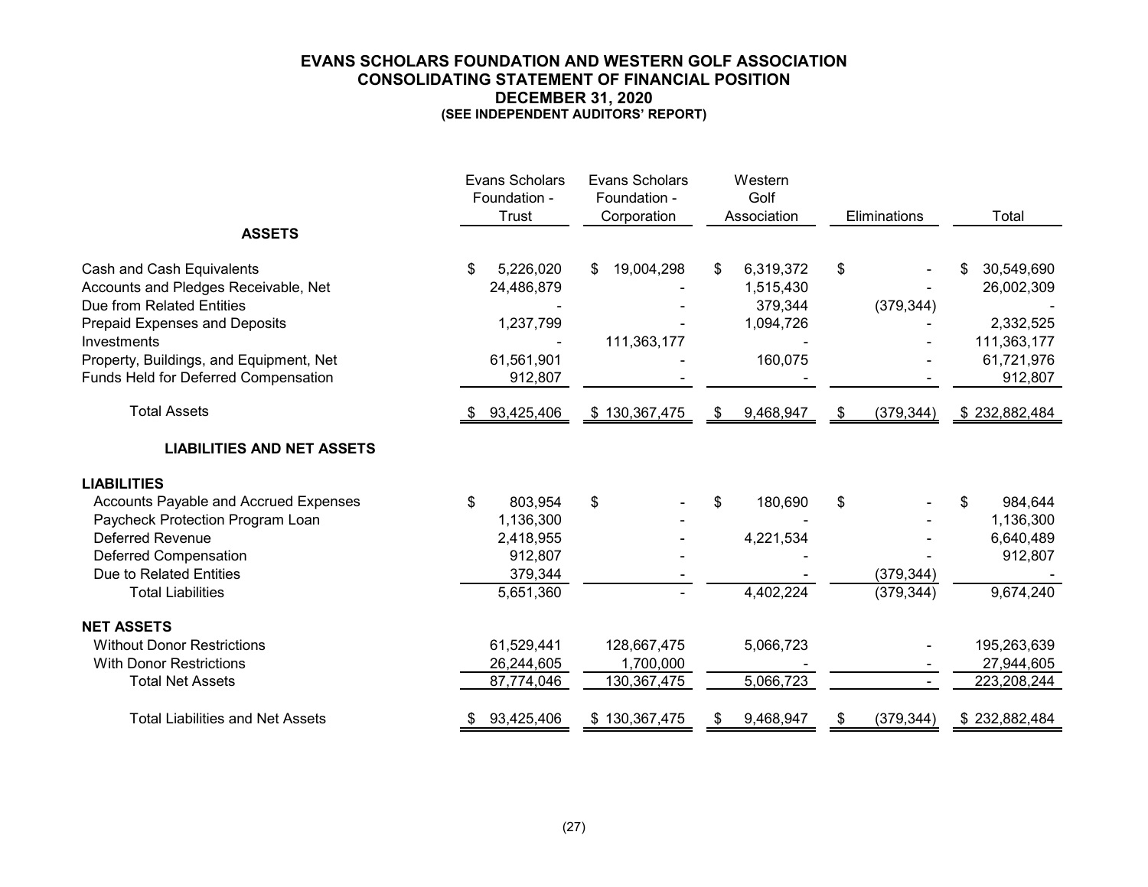#### **EVANS SCHOLARS FOUNDATION AND WESTERN GOLF ASSOCIATION CONSOLIDATING STATEMENT OF FINANCIAL POSITION DECEMBER 31, 2020 (SEE INDEPENDENT AUDITORS' REPORT)**

|                                         | <b>Evans Scholars</b><br>Foundation -<br>Trust | <b>Evans Scholars</b><br>Foundation -<br>Corporation | Western<br>Golf<br>Association | Eliminations      | Total         |
|-----------------------------------------|------------------------------------------------|------------------------------------------------------|--------------------------------|-------------------|---------------|
| <b>ASSETS</b>                           |                                                |                                                      |                                |                   |               |
| Cash and Cash Equivalents               | 5,226,020                                      | 19,004,298<br>\$.                                    | \$<br>6,319,372                | \$                | 30,549,690    |
| Accounts and Pledges Receivable, Net    | 24,486,879                                     |                                                      | 1,515,430                      |                   | 26,002,309    |
| Due from Related Entities               |                                                |                                                      | 379,344                        | (379, 344)        |               |
| <b>Prepaid Expenses and Deposits</b>    | 1,237,799                                      |                                                      | 1,094,726                      |                   | 2,332,525     |
| Investments                             |                                                | 111,363,177                                          |                                |                   | 111,363,177   |
| Property, Buildings, and Equipment, Net | 61,561,901                                     |                                                      | 160,075                        |                   | 61,721,976    |
| Funds Held for Deferred Compensation    | 912,807                                        |                                                      |                                |                   | 912,807       |
| <b>Total Assets</b>                     | \$93,425,406                                   | \$130,367,475                                        | 9,468,947<br>\$                | (379, 344)<br>\$  | \$232,882,484 |
| <b>LIABILITIES AND NET ASSETS</b>       |                                                |                                                      |                                |                   |               |
| <b>LIABILITIES</b>                      |                                                |                                                      |                                |                   |               |
| Accounts Payable and Accrued Expenses   | 803,954<br>\$                                  | \$                                                   | \$<br>180,690                  | \$                | 984,644<br>\$ |
| Paycheck Protection Program Loan        | 1,136,300                                      |                                                      |                                |                   | 1,136,300     |
| <b>Deferred Revenue</b>                 | 2,418,955                                      |                                                      | 4,221,534                      |                   | 6,640,489     |
| <b>Deferred Compensation</b>            | 912,807                                        |                                                      |                                |                   | 912,807       |
| Due to Related Entities                 | 379,344                                        |                                                      |                                | (379, 344)        |               |
| <b>Total Liabilities</b>                | 5,651,360                                      |                                                      | 4,402,224                      | (379, 344)        | 9,674,240     |
| <b>NET ASSETS</b>                       |                                                |                                                      |                                |                   |               |
| <b>Without Donor Restrictions</b>       | 61,529,441                                     | 128,667,475                                          | 5,066,723                      |                   | 195,263,639   |
| <b>With Donor Restrictions</b>          | 26,244,605                                     | 1,700,000                                            |                                |                   | 27,944,605    |
| <b>Total Net Assets</b>                 | 87,774,046                                     | 130, 367, 475                                        | 5,066,723                      |                   | 223,208,244   |
| <b>Total Liabilities and Net Assets</b> | 93,425,406                                     | \$130,367,475                                        | 9,468,947<br>\$                | (379, 344)<br>\$. | \$232,882,484 |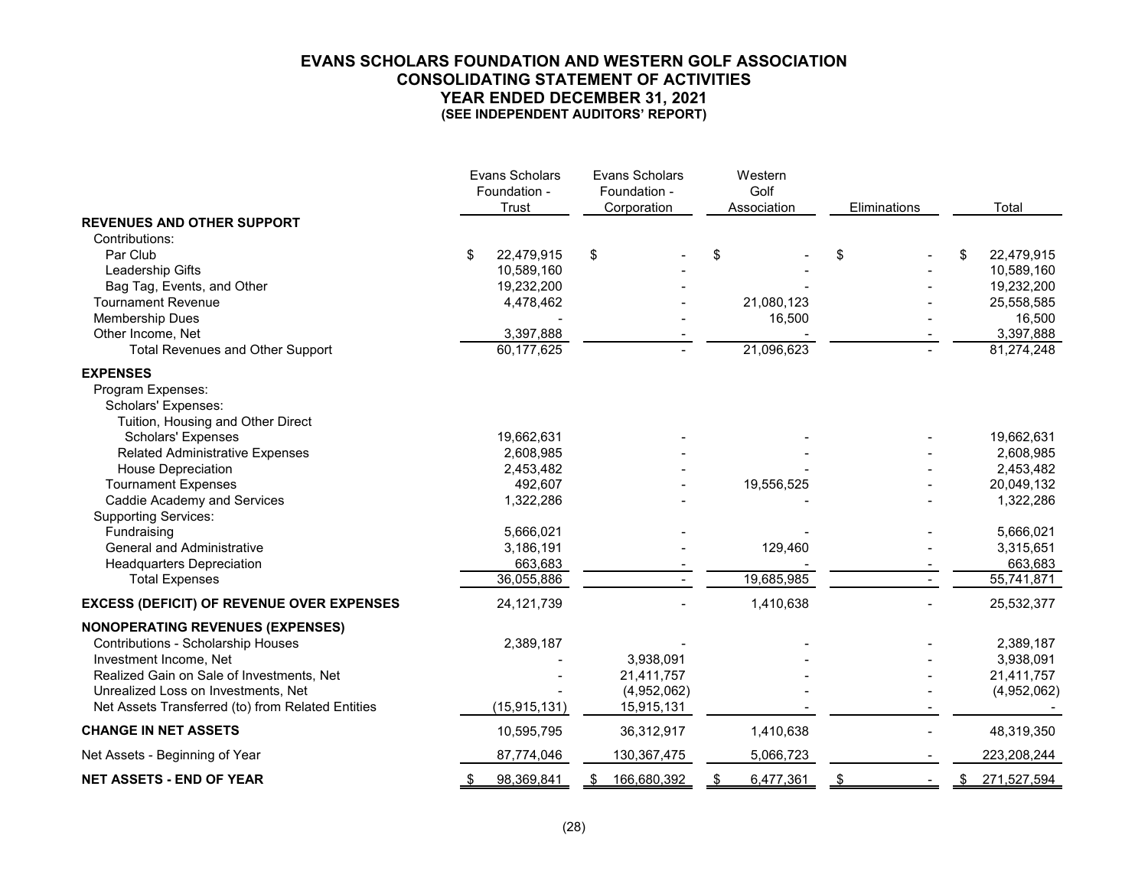#### **EVANS SCHOLARS FOUNDATION AND WESTERN GOLF ASSOCIATION CONSOLIDATING STATEMENT OF ACTIVITIES YEAR ENDED DECEMBER 31, 2021 (SEE INDEPENDENT AUDITORS' REPORT)**

|                                                   | Evans Scholars<br>Foundation -<br>Trust |    | Evans Scholars<br>Foundation -<br>Corporation |    | Western<br>Golf<br>Association | Eliminations |  | Total |             |
|---------------------------------------------------|-----------------------------------------|----|-----------------------------------------------|----|--------------------------------|--------------|--|-------|-------------|
| <b>REVENUES AND OTHER SUPPORT</b>                 |                                         |    |                                               |    |                                |              |  |       |             |
| Contributions:                                    |                                         |    |                                               |    |                                |              |  |       |             |
| Par Club                                          | \$<br>22,479,915                        | \$ |                                               | \$ |                                | \$           |  | \$    | 22,479,915  |
| Leadership Gifts                                  | 10,589,160                              |    |                                               |    |                                |              |  |       | 10,589,160  |
| Bag Tag, Events, and Other                        | 19,232,200                              |    |                                               |    |                                |              |  |       | 19,232,200  |
| <b>Tournament Revenue</b>                         | 4,478,462                               |    |                                               |    | 21,080,123                     |              |  |       | 25,558,585  |
| Membership Dues                                   |                                         |    |                                               |    | 16,500                         |              |  |       | 16,500      |
| Other Income, Net                                 | 3,397,888                               |    |                                               |    |                                |              |  |       | 3,397,888   |
| <b>Total Revenues and Other Support</b>           | 60,177,625                              |    |                                               |    | 21,096,623                     |              |  |       | 81,274,248  |
| <b>EXPENSES</b>                                   |                                         |    |                                               |    |                                |              |  |       |             |
| Program Expenses:                                 |                                         |    |                                               |    |                                |              |  |       |             |
| Scholars' Expenses:                               |                                         |    |                                               |    |                                |              |  |       |             |
| Tuition, Housing and Other Direct                 |                                         |    |                                               |    |                                |              |  |       |             |
| Scholars' Expenses                                | 19,662,631                              |    |                                               |    |                                |              |  |       | 19,662,631  |
| <b>Related Administrative Expenses</b>            | 2,608,985                               |    |                                               |    |                                |              |  |       | 2,608,985   |
| <b>House Depreciation</b>                         | 2,453,482                               |    |                                               |    |                                |              |  |       | 2,453,482   |
| <b>Tournament Expenses</b>                        | 492,607                                 |    |                                               |    | 19,556,525                     |              |  |       | 20,049,132  |
| Caddie Academy and Services                       | 1,322,286                               |    |                                               |    |                                |              |  |       | 1,322,286   |
| <b>Supporting Services:</b>                       |                                         |    |                                               |    |                                |              |  |       |             |
| Fundraising                                       | 5,666,021                               |    |                                               |    |                                |              |  |       | 5,666,021   |
| <b>General and Administrative</b>                 | 3,186,191                               |    |                                               |    | 129,460                        |              |  |       | 3,315,651   |
| <b>Headquarters Depreciation</b>                  | 663,683                                 |    |                                               |    |                                |              |  |       | 663,683     |
| <b>Total Expenses</b>                             | 36,055,886                              |    |                                               |    | 19,685,985                     |              |  |       | 55,741,871  |
| <b>EXCESS (DEFICIT) OF REVENUE OVER EXPENSES</b>  | 24, 121, 739                            |    |                                               |    | 1,410,638                      |              |  |       | 25,532,377  |
| <b>NONOPERATING REVENUES (EXPENSES)</b>           |                                         |    |                                               |    |                                |              |  |       |             |
| Contributions - Scholarship Houses                | 2,389,187                               |    |                                               |    |                                |              |  |       | 2,389,187   |
| Investment Income, Net                            |                                         |    | 3,938,091                                     |    |                                |              |  |       | 3,938,091   |
| Realized Gain on Sale of Investments, Net         |                                         |    | 21,411,757                                    |    |                                |              |  |       | 21,411,757  |
| Unrealized Loss on Investments, Net               |                                         |    | (4,952,062)                                   |    |                                |              |  |       | (4,952,062) |
| Net Assets Transferred (to) from Related Entities | (15, 915, 131)                          |    | 15,915,131                                    |    |                                |              |  |       |             |
| <b>CHANGE IN NET ASSETS</b>                       | 10,595,795                              |    | 36,312,917                                    |    | 1,410,638                      |              |  |       | 48,319,350  |
| Net Assets - Beginning of Year                    | 87,774,046                              |    | 130, 367, 475                                 |    | 5,066,723                      |              |  |       | 223,208,244 |
| <b>NET ASSETS - END OF YEAR</b>                   | 98,369,841                              | S  | 166,680,392                                   | S  | 6,477,361                      | \$           |  | \$    | 271,527,594 |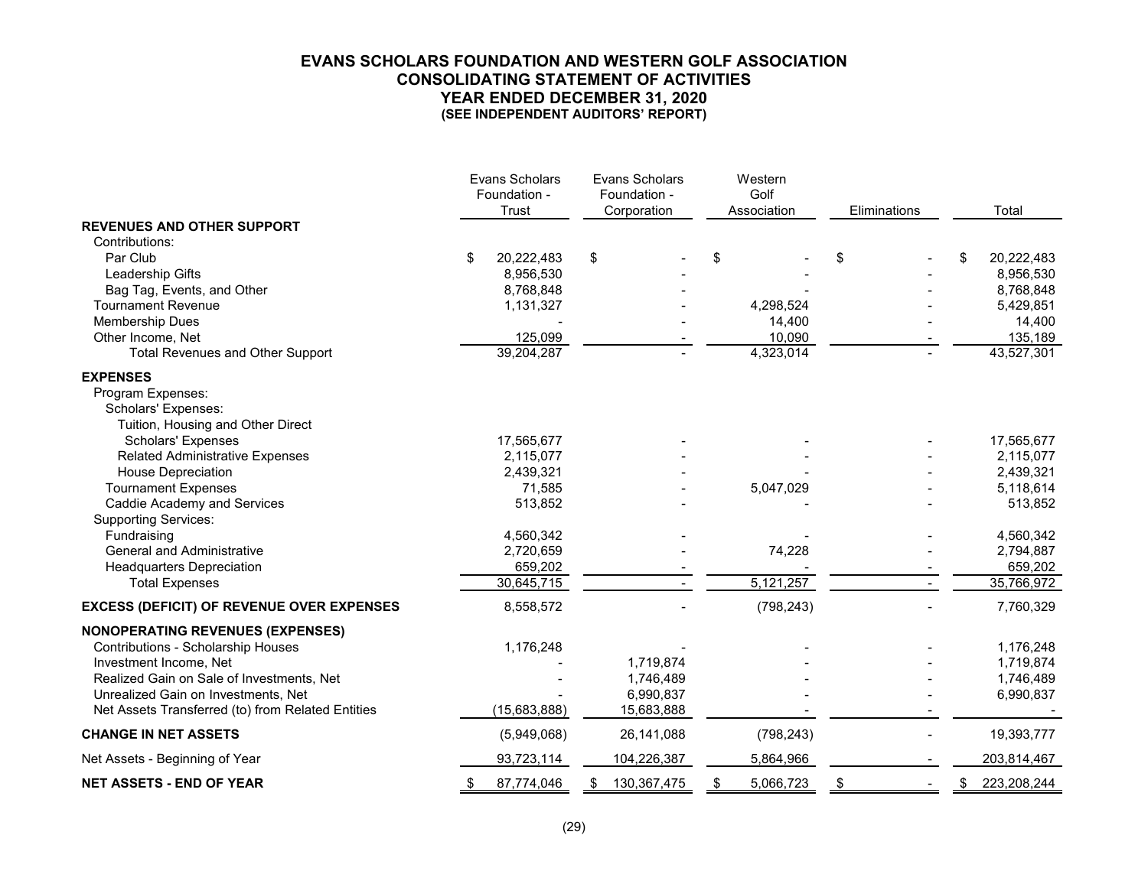#### **EVANS SCHOLARS FOUNDATION AND WESTERN GOLF ASSOCIATION CONSOLIDATING STATEMENT OF ACTIVITIES YEAR ENDED DECEMBER 31, 2020 (SEE INDEPENDENT AUDITORS' REPORT)**

|                                                   | Evans Scholars<br>Foundation -<br>Trust | Evans Scholars<br>Foundation -<br>Corporation | Western<br>Golf<br>Association | Eliminations | Total             |  |
|---------------------------------------------------|-----------------------------------------|-----------------------------------------------|--------------------------------|--------------|-------------------|--|
| <b>REVENUES AND OTHER SUPPORT</b>                 |                                         |                                               |                                |              |                   |  |
| Contributions:                                    |                                         |                                               |                                |              |                   |  |
| Par Club                                          | \$<br>20,222,483                        | \$                                            | \$                             | \$           | 20,222,483<br>\$  |  |
| Leadership Gifts                                  | 8,956,530                               |                                               |                                |              | 8,956,530         |  |
| Bag Tag, Events, and Other                        | 8,768,848                               |                                               |                                |              | 8,768,848         |  |
| <b>Tournament Revenue</b>                         | 1,131,327                               |                                               | 4,298,524                      |              | 5,429,851         |  |
| Membership Dues                                   |                                         |                                               | 14,400                         |              | 14,400            |  |
| Other Income, Net                                 | 125,099                                 |                                               | 10,090                         |              | 135,189           |  |
| <b>Total Revenues and Other Support</b>           | 39,204,287                              |                                               | 4,323,014                      |              | 43,527,301        |  |
| <b>EXPENSES</b>                                   |                                         |                                               |                                |              |                   |  |
| Program Expenses:                                 |                                         |                                               |                                |              |                   |  |
| Scholars' Expenses:                               |                                         |                                               |                                |              |                   |  |
| Tuition, Housing and Other Direct                 |                                         |                                               |                                |              |                   |  |
| Scholars' Expenses                                | 17,565,677                              |                                               |                                |              | 17,565,677        |  |
| <b>Related Administrative Expenses</b>            | 2,115,077                               |                                               |                                |              | 2,115,077         |  |
| <b>House Depreciation</b>                         | 2,439,321                               |                                               |                                |              | 2,439,321         |  |
| <b>Tournament Expenses</b>                        | 71,585                                  |                                               | 5,047,029                      |              | 5,118,614         |  |
| <b>Caddie Academy and Services</b>                | 513,852                                 |                                               |                                |              | 513,852           |  |
| <b>Supporting Services:</b>                       |                                         |                                               |                                |              |                   |  |
| Fundraising                                       | 4,560,342                               |                                               |                                |              | 4,560,342         |  |
| <b>General and Administrative</b>                 | 2,720,659                               |                                               | 74,228                         |              | 2,794,887         |  |
| <b>Headquarters Depreciation</b>                  | 659,202                                 |                                               |                                |              | 659,202           |  |
| <b>Total Expenses</b>                             | 30,645,715                              |                                               | 5, 121, 257                    |              | 35,766,972        |  |
| <b>EXCESS (DEFICIT) OF REVENUE OVER EXPENSES</b>  | 8,558,572                               |                                               | (798, 243)                     |              | 7,760,329         |  |
| <b>NONOPERATING REVENUES (EXPENSES)</b>           |                                         |                                               |                                |              |                   |  |
| Contributions - Scholarship Houses                | 1,176,248                               |                                               |                                |              | 1,176,248         |  |
| Investment Income, Net                            |                                         | 1,719,874                                     |                                |              | 1,719,874         |  |
| Realized Gain on Sale of Investments, Net         |                                         | 1,746,489                                     |                                |              | 1,746,489         |  |
| Unrealized Gain on Investments, Net               |                                         | 6,990,837                                     |                                |              | 6,990,837         |  |
| Net Assets Transferred (to) from Related Entities | (15,683,888)                            | 15,683,888                                    |                                |              |                   |  |
| <b>CHANGE IN NET ASSETS</b>                       | (5,949,068)                             | 26,141,088                                    | (798, 243)                     |              | 19,393,777        |  |
| Net Assets - Beginning of Year                    | 93,723,114                              | 104,226,387                                   | 5,864,966                      |              | 203,814,467       |  |
| <b>NET ASSETS - END OF YEAR</b>                   | 87,774,046<br>- \$                      | 130,367,475<br>\$                             | 5,066,723<br>- \$              | \$           | 223,208,244<br>\$ |  |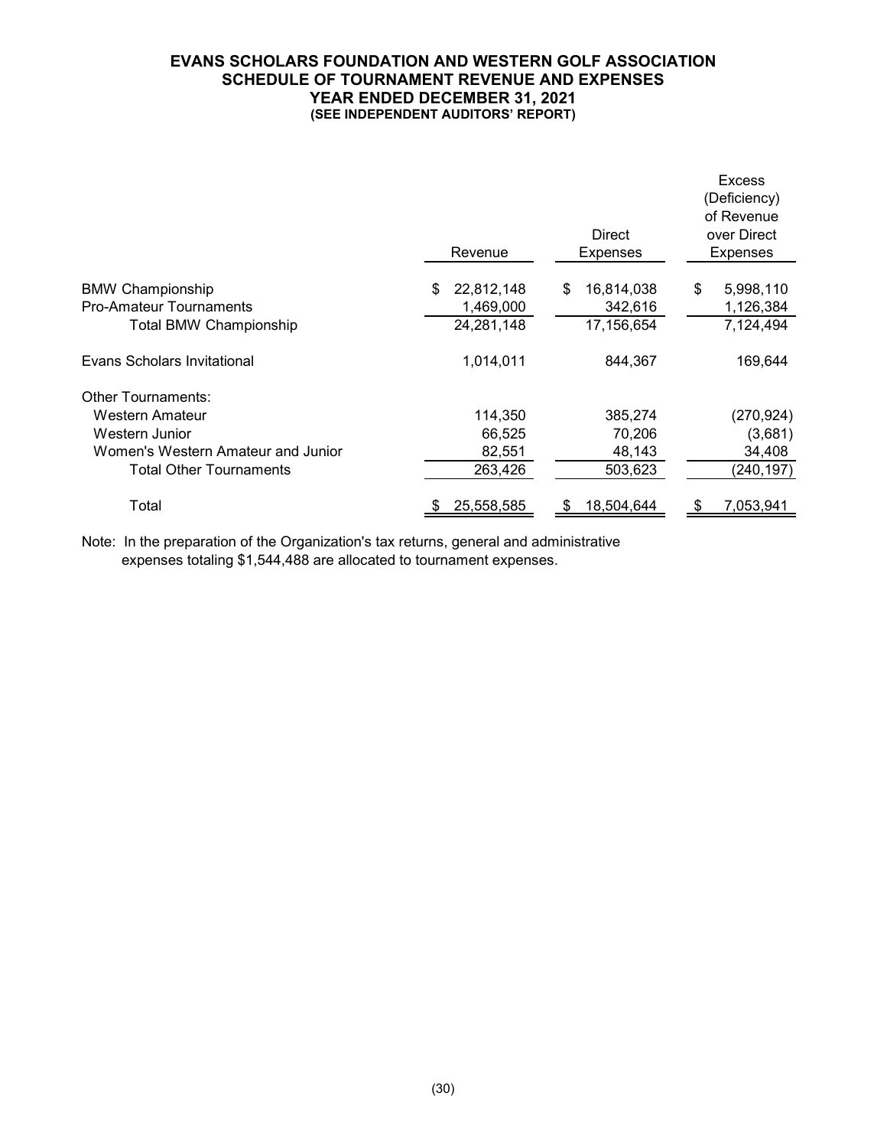## **EVANS SCHOLARS FOUNDATION AND WESTERN GOLF ASSOCIATION SCHEDULE OF TOURNAMENT REVENUE AND EXPENSES YEAR ENDED DECEMBER 31, 2021 (SEE INDEPENDENT AUDITORS' REPORT)**

|                                    | Revenue          | <b>Direct</b><br><b>Expenses</b> | <b>Excess</b><br>(Deficiency)<br>of Revenue<br>over Direct<br><b>Expenses</b> |  |  |
|------------------------------------|------------------|----------------------------------|-------------------------------------------------------------------------------|--|--|
| <b>BMW Championship</b>            | 22,812,148<br>\$ | \$<br>16,814,038                 | \$<br>5,998,110                                                               |  |  |
| <b>Pro-Amateur Tournaments</b>     | 1,469,000        | 342,616                          | 1,126,384                                                                     |  |  |
| <b>Total BMW Championship</b>      | 24,281,148       | 17,156,654                       | 7,124,494                                                                     |  |  |
| Evans Scholars Invitational        | 1,014,011        | 844.367                          | 169.644                                                                       |  |  |
| Other Tournaments:                 |                  |                                  |                                                                               |  |  |
| Western Amateur                    | 114,350          | 385,274                          | (270, 924)                                                                    |  |  |
| Western Junior                     | 66,525           | 70,206                           | (3,681)                                                                       |  |  |
| Women's Western Amateur and Junior | 82,551           | 48,143                           | 34,408                                                                        |  |  |
| <b>Total Other Tournaments</b>     | 263,426          | 503,623                          | (240, 197)                                                                    |  |  |
| Total                              | 25,558,585       | 18,504,644<br>S                  | 7,053,941<br>S                                                                |  |  |

 expenses totaling \$1,544,488 are allocated to tournament expenses. Note: In the preparation of the Organization's tax returns, general and administrative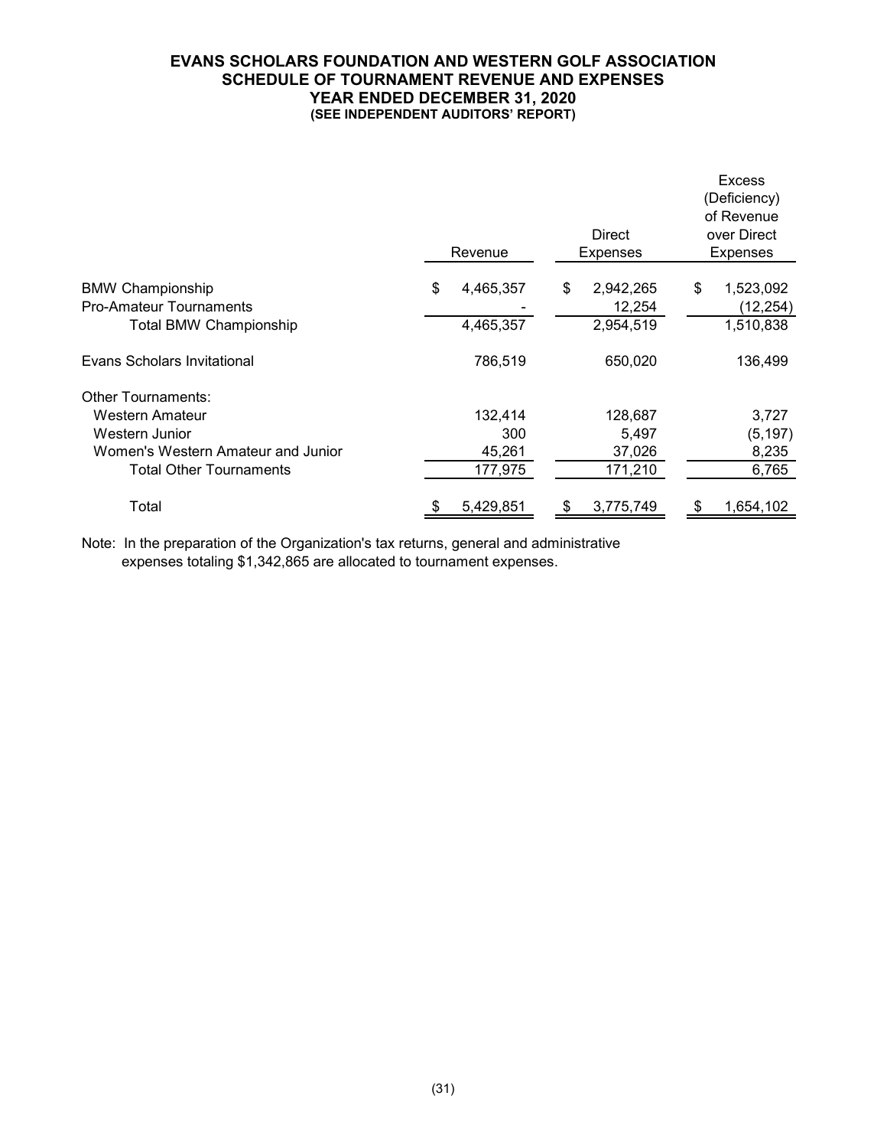### **EVANS SCHOLARS FOUNDATION AND WESTERN GOLF ASSOCIATION SCHEDULE OF TOURNAMENT REVENUE AND EXPENSES YEAR ENDED DECEMBER 31, 2020 (SEE INDEPENDENT AUDITORS' REPORT)**

|                                                           | Revenue         | <b>Direct</b><br>Expenses |                     | Excess<br>(Deficiency)<br>of Revenue<br>over Direct<br>Expenses |  |
|-----------------------------------------------------------|-----------------|---------------------------|---------------------|-----------------------------------------------------------------|--|
| <b>BMW Championship</b><br><b>Pro-Amateur Tournaments</b> | \$<br>4,465,357 | \$                        | 2,942,265<br>12,254 | \$<br>1,523,092<br>(12, 254)                                    |  |
| <b>Total BMW Championship</b>                             | 4,465,357       |                           | 2,954,519           | 1,510,838                                                       |  |
| Evans Scholars Invitational                               | 786,519         |                           | 650,020             | 136,499                                                         |  |
| Other Tournaments:                                        |                 |                           |                     |                                                                 |  |
| <b>Western Amateur</b>                                    | 132,414         |                           | 128,687             | 3,727                                                           |  |
| Western Junior                                            | 300             |                           | 5,497               | (5, 197)                                                        |  |
| Women's Western Amateur and Junior                        | 45,261          |                           | 37,026              | 8,235                                                           |  |
| <b>Total Other Tournaments</b>                            | 177,975         |                           | 171,210             | 6,765                                                           |  |
| Total                                                     | 5,429,851       | S                         | 3,775,749           | \$<br>1,654,102                                                 |  |

 expenses totaling \$1,342,865 are allocated to tournament expenses. Note: In the preparation of the Organization's tax returns, general and administrative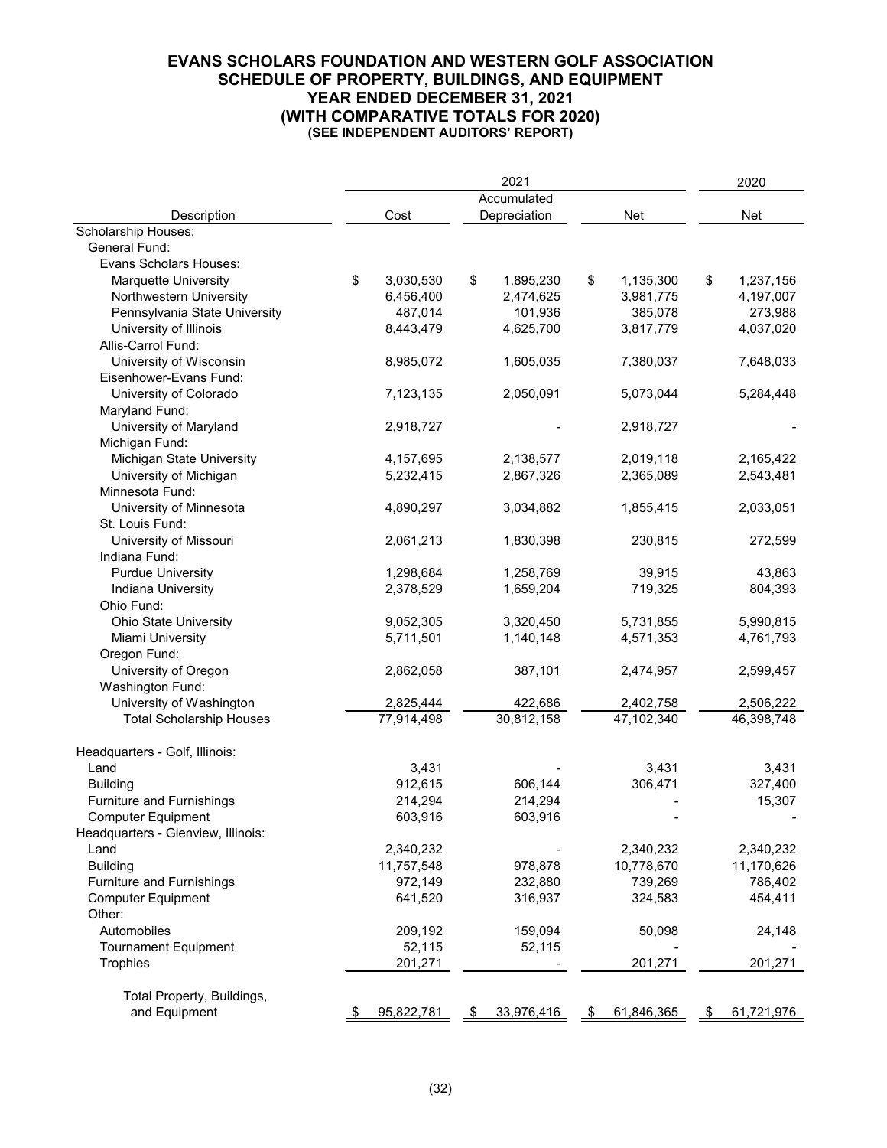## **EVANS SCHOLARS FOUNDATION AND WESTERN GOLF ASSOCIATION SCHEDULE OF PROPERTY, BUILDINGS, AND EQUIPMENT YEAR ENDED DECEMBER 31, 2021 (WITH COMPARATIVE TOTALS FOR 2020) (SEE INDEPENDENT AUDITORS' REPORT)**

|                                            |                 | 2021             |                  | 2020             |
|--------------------------------------------|-----------------|------------------|------------------|------------------|
|                                            |                 |                  |                  |                  |
| Description                                | Cost            | Depreciation     | Net              | Net              |
| Scholarship Houses:                        |                 |                  |                  |                  |
| General Fund:                              |                 |                  |                  |                  |
| Evans Scholars Houses:                     |                 |                  |                  |                  |
| <b>Marquette University</b>                | \$<br>3,030,530 | \$<br>1,895,230  | \$<br>1,135,300  | \$<br>1,237,156  |
| Northwestern University                    | 6,456,400       | 2,474,625        | 3,981,775        | 4,197,007        |
| Pennsylvania State University              | 487,014         | 101,936          | 385,078          | 273,988          |
| University of Illinois                     | 8,443,479       | 4,625,700        | 3,817,779        | 4,037,020        |
| Allis-Carrol Fund:                         |                 |                  |                  |                  |
| University of Wisconsin                    | 8,985,072       | 1,605,035        | 7,380,037        | 7,648,033        |
| Eisenhower-Evans Fund:                     |                 |                  |                  |                  |
| University of Colorado                     | 7,123,135       | 2,050,091        | 5,073,044        | 5,284,448        |
| Maryland Fund:                             |                 |                  |                  |                  |
| University of Maryland                     | 2,918,727       |                  | 2,918,727        |                  |
| Michigan Fund:                             |                 |                  |                  |                  |
| Michigan State University                  | 4,157,695       | 2,138,577        | 2,019,118        | 2,165,422        |
| University of Michigan                     | 5,232,415       | 2,867,326        | 2,365,089        | 2,543,481        |
| Minnesota Fund:                            |                 |                  |                  |                  |
| University of Minnesota                    | 4,890,297       | 3,034,882        | 1,855,415        | 2,033,051        |
| St. Louis Fund:                            |                 |                  |                  |                  |
| University of Missouri                     | 2,061,213       | 1,830,398        | 230,815          | 272,599          |
| Indiana Fund:                              |                 |                  |                  |                  |
| <b>Purdue University</b>                   | 1,298,684       | 1,258,769        | 39,915           | 43,863           |
| Indiana University                         | 2,378,529       | 1,659,204        | 719,325          | 804,393          |
| Ohio Fund:                                 |                 |                  |                  |                  |
| <b>Ohio State University</b>               | 9,052,305       | 3,320,450        | 5,731,855        | 5,990,815        |
| Miami University                           | 5,711,501       | 1,140,148        | 4,571,353        | 4,761,793        |
| Oregon Fund:                               |                 |                  |                  |                  |
| University of Oregon                       | 2,862,058       | 387,101          | 2,474,957        | 2,599,457        |
| Washington Fund:                           |                 |                  |                  |                  |
| University of Washington                   | 2,825,444       | 422,686          | 2,402,758        | 2,506,222        |
| <b>Total Scholarship Houses</b>            | 77,914,498      | 30,812,158       | 47,102,340       | 46,398,748       |
|                                            |                 |                  |                  |                  |
| Headquarters - Golf, Illinois:             |                 |                  |                  |                  |
| Land                                       | 3,431           |                  | 3,431            | 3,431            |
| <b>Building</b>                            | 912,615         | 606,144          | 306,471          | 327,400          |
| Furniture and Furnishings                  | 214,294         | 214,294          |                  | 15,307           |
| <b>Computer Equipment</b>                  | 603,916         | 603,916          |                  |                  |
|                                            |                 |                  |                  |                  |
| Headquarters - Glenview, Illinois:<br>Land | 2,340,232       |                  | 2,340,232        | 2,340,232        |
| <b>Building</b>                            | 11,757,548      |                  | 10,778,670       |                  |
|                                            |                 | 978,878          |                  | 11,170,626       |
| <b>Furniture and Furnishings</b>           | 972,149         | 232,880          | 739,269          | 786,402          |
| <b>Computer Equipment</b>                  | 641,520         | 316,937          | 324,583          | 454,411          |
| Other:                                     |                 |                  |                  |                  |
| Automobiles                                | 209,192         | 159,094          | 50,098           | 24,148           |
| <b>Tournament Equipment</b>                | 52,115          | 52,115           |                  |                  |
| <b>Trophies</b>                            | 201,271         |                  | 201,271          | 201,271          |
|                                            |                 |                  |                  |                  |
| Total Property, Buildings,                 |                 |                  |                  |                  |
| and Equipment                              | 95,822,781      | 33,976,416<br>\$ | 61,846,365<br>\$ | 61,721,976<br>\$ |